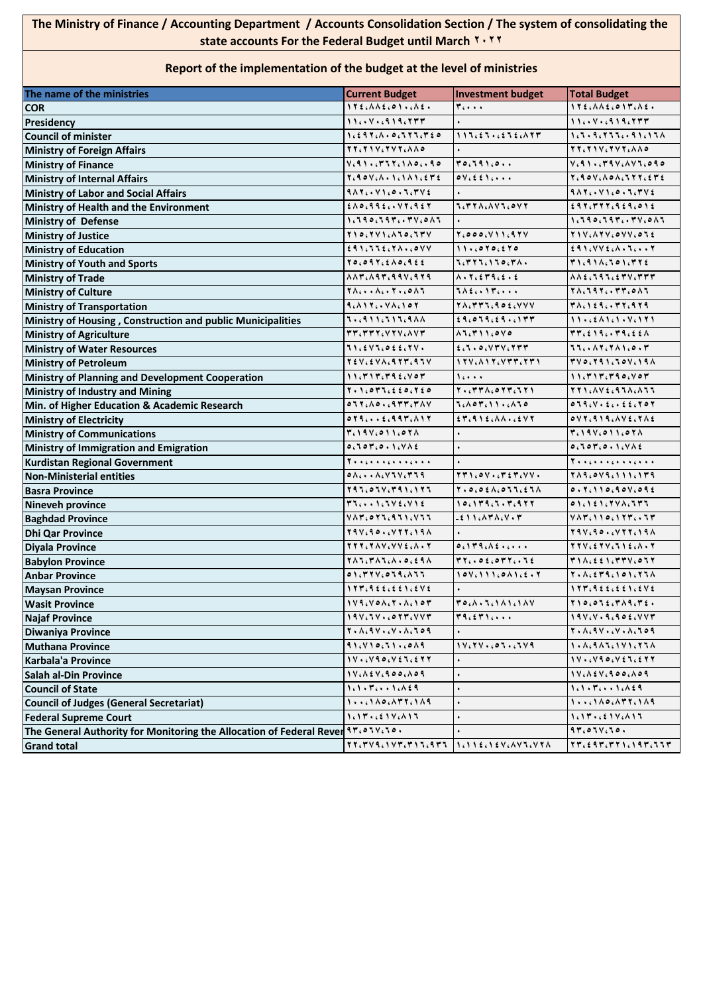## **The Ministry of Finance / Accounting Department / Accounts Consolidation Section / The system of consolidating the state accounts For the Federal Budget until March 2022**

## **Report of the implementation of the budget at the level of ministries**

| The name of the ministries                                                       | <b>Current Budget</b>                                                     | Investment budget                                                                                       | <b>Total Budget</b>                                                           |
|----------------------------------------------------------------------------------|---------------------------------------------------------------------------|---------------------------------------------------------------------------------------------------------|-------------------------------------------------------------------------------|
| <b>COR</b>                                                                       | 172.001.001.002.                                                          | $r \cdots$                                                                                              | 172.112.017.12.                                                               |
| Presidency                                                                       | $11V919.777$                                                              |                                                                                                         | $11V919.777$                                                                  |
| <b>Council of minister</b>                                                       | 1.297.1.00177.720                                                         | 115.25252.177                                                                                           | 1.5.9.777.091.17A                                                             |
| <b>Ministry of Foreign Affairs</b>                                               | TT. TIV. TVT. AAO                                                         |                                                                                                         | TT.TIV.TVT.AAO                                                                |
| <b>Ministry of Finance</b>                                                       | V.91.777.1A0.090                                                          | 70.791.0                                                                                                | $V.91.79V.$ AVI.090                                                           |
| <b>Ministry of Internal Affairs</b>                                              | $Y_{6}90V_{6}\Lambda\cdot Y_{6}\Lambda\Lambda Y_{6}6T6$                   | $oV_{i}$ $\leq$ $f$ , $\ldots$                                                                          |                                                                               |
| <b>Ministry of Labor and Social Affairs</b>                                      | 9.17.041.0.5.7442                                                         |                                                                                                         | 917.0100.57744                                                                |
| Ministry of Health and the Environment                                           | $£ \wedge \circ .99 £. . \vee 7.9 £7$                                     | <b>ICTYACAVICOVY</b>                                                                                    | 299.7777.929.012                                                              |
| <b>Ministry of Defense</b>                                                       | $1.590.597.774.015$                                                       |                                                                                                         | $1.590.597.777.015$                                                           |
| <b>Ministry of Justice</b>                                                       | TIO CTVICATOCTTV                                                          | $Y_{6}000_{6}V11_{6}97V$                                                                                | TIV.ATV.OVV.OTE                                                               |
| <b>Ministry of Education</b>                                                     | 291.772.7A.60VV                                                           | 11.6070.670                                                                                             | $£91. VVEi$ A. T T                                                            |
| <b>Ministry of Youth and Sports</b>                                              | $70,097,510,955$                                                          | <b>J. TYJ. 110. TA.</b>                                                                                 | T1.911.101.7772                                                               |
| <b>Ministry of Trade</b>                                                         | $\Lambda\Lambda$ ۳, $\Lambda$ ۹۳, ۹۹۷, ۹۲۹                                | $\Lambda$ . $\Upsilon$ . $\epsilon$ $\Upsilon$ 9. $\epsilon$ . $\epsilon$                               | $A A \in L^{q} \cup L^{q} \subset L^{q} \times L^{q} \times L^{q}$            |
| <b>Ministry of Culture</b>                                                       | 78                                                                        | <b>TAEGATTGOOO</b>                                                                                      | $71.797.777.017$                                                              |
| <b>Ministry of Transportation</b>                                                | $9.111V1.107$                                                             | TACTTIC90ECVVV                                                                                          | TACIERC. TYCRTR                                                               |
| Ministry of Housing, Construction and public Municipalities                      | ۰، ۹۱۱، ۶۱۶، ۹۸۸                                                          | 29.079.29.177                                                                                           | $11.664101.76171$                                                             |
| <b>Ministry of Agriculture</b>                                                   | TT. TTT.VTV.AVT                                                           | $\Lambda$ $\Lambda$ , $\Gamma$ $\Lambda$ $\Lambda$ , $\circ$ $\vee$ $\circ$                             | TT, 219, T9, 226                                                              |
| <b>Ministry of Water Resources</b>                                               | 11.5471.022.74.                                                           | f:1.0.07V:777                                                                                           | 7760867816007                                                                 |
| <b>Ministry of Petroleum</b>                                                     | TEVIEVAIRTTIRTV                                                           |                                                                                                         | $TVC$ , $T41.70V.19A$                                                         |
| Ministry of Planning and Development Cooperation                                 | $11.717.79\text{£}007$                                                    | $1$ c + + +                                                                                             | $11.717.790.707$                                                              |
| <b>Ministry of Industry and Mining</b>                                           | $Y \cdot Y \cdot \circ Y' Y \cdot \xi \leq \circ \cdot Y \cdot \xi \circ$ | $Y \cdot . Y Y \wedge . \circ Y Y . 1 Y 1$                                                              | <b>TTICAVECATACATT</b>                                                        |
| Min. of Higher Education & Academic Research                                     | 0.77640.0477.74V                                                          | $\mathbf{1.}\wedge\mathbf{0.}\mathbf{0.}\wedge\mathbf{1.}\wedge\mathbf{1.}\wedge\mathbf{1.}\mathbf{0.}$ | 0.79.74.5.422.707                                                             |
| <b>Ministry of Electricity</b>                                                   | 0.79666264976                                                             | $ETc915cAA + CEVY$                                                                                      | $oVT.919. \triangle V5.7\triangle t$                                          |
| <b>Ministry of Communications</b>                                                | 1.191.011.071                                                             |                                                                                                         | 1.191.011.071                                                                 |
| Ministry of Immigration and Emigration                                           | 0.707.0.1.446                                                             |                                                                                                         | 0.707.0.1.116                                                                 |
| <b>Kurdistan Regional Government</b>                                             | <b>T</b>                                                                  |                                                                                                         | Tooconoconcono                                                                |
| <b>Non-Ministerial entities</b>                                                  | $0 \wedge \cdots \wedge \cdots \vee \vee \cdots \vee \wedge$              | $YY1.0Y1.75Y. V.$                                                                                       | TARCOVACIIICITA                                                               |
| <b>Basra Province</b>                                                            | $893.058787616183$                                                        | $Y \cdot 0.011.111111$                                                                                  | 0.7.110.90V.092                                                               |
| <b>Nineveh province</b>                                                          | $T1 \ldots 1.1 V5. V1$                                                    | ۱ 0 ، ۱ ۳۹ ، ۶ ، ۳ ، ۹۲۲                                                                                | $\circ$ 1 $\circ$ 1 $\circ$ 1 $\circ$ 7 $\vee$ 1 $\circ$ 7 $\vee$ 7           |
| <b>Baghdad Province</b>                                                          | VATC                                                                      | $-211.171.74.77.7$                                                                                      | $V \wedge T \wedge 1 1 0 0 1 5 7 7 0 0 0 1$                                   |
| <b>Dhi Qar Province</b>                                                          | $79V,90.7777,19A$                                                         |                                                                                                         | $Y A V, A O. (V Y Y, 19A)$                                                    |
| <b>Diyala Province</b>                                                           | <b>TTT.TAV.VVE.A.T</b>                                                    | $0.119.$ A $2.001$                                                                                      | TTV . E TV . J I E . A . T                                                    |
| <b>Babylon Province</b>                                                          |                                                                           | 77.06077.76                                                                                             | T11.551.774.077                                                               |
| <b>Anbar Province</b>                                                            | 01.774.079.177                                                            | $10V_i111_i0A1_i5.7$                                                                                    | $7.1151011011771$                                                             |
| <b>Maysan Province</b>                                                           | $177.9$ ££,££1,£ $V$ £                                                    |                                                                                                         | $177.9$ ££.££1.£ $V$ £                                                        |
| <b>Wasit Province</b>                                                            | $1 V 9. V 0 A. Y 0 A. 1 0 1$                                              | TO (A . J . 1 A 1 . 1 A V                                                                               | $Y \setminus o \cdot o \setminus \epsilon \cdot Y \wedge q \cdot Y \epsilon.$ |
| <b>Najaf Province</b>                                                            | $19V, 5V, 6077, VVP$                                                      | T9.5T1                                                                                                  | $19V. V. 9.902. VVT$                                                          |
| <b>Diwaniya Province</b>                                                         | $Y \cdot \Lambda \cdot 9V \cdot \Lambda V \cdot \Lambda \cdot 709$        |                                                                                                         | $Y \cdot \Lambda \cdot 9 \vee \cdot \cdot \vee \cdot \Lambda \cdot 109$       |
| <b>Muthana Province</b>                                                          | $91.410.71.0019$                                                          | ۲۷،۲۷۰، ۱۰، ۱۷،۲۹                                                                                       |                                                                               |
| Karbala'a Province                                                               | 1 V.                                                                      |                                                                                                         | $1 \vee \cdot \cdot \vee 9 \circ \cdot \vee 4 \vee \cdot 5 \vee 7$            |
| Salah al-Din Province                                                            | $1 V. \lambda \leq V. 900. \lambda 09$                                    |                                                                                                         | $1 V. \lambda \le V. 900. \lambda 09$                                         |
| <b>Council of State</b>                                                          | $1.1.71.149$                                                              |                                                                                                         | 1.1.71.149                                                                    |
| <b>Council of Judges (General Secretariat)</b>                                   |                                                                           |                                                                                                         |                                                                               |
| <b>Federal Supreme Court</b>                                                     | $1.17.621Y6$                                                              |                                                                                                         | $1.17.621Y,115$                                                               |
| The General Authority for Monitoring the Allocation of Federal Rever ٩٣،٥٦٧، ٦٥٠ |                                                                           |                                                                                                         | 97.01V.10.                                                                    |
| <b>Grand total</b>                                                               |                                                                           | 1 ، 1 1 ٤ ، 1 ٤ ٧ ، ٨ ٧ ٦ ، ٧ ٢ ٨                                                                       | TT. Eqt. TT1. 19T. JJT                                                        |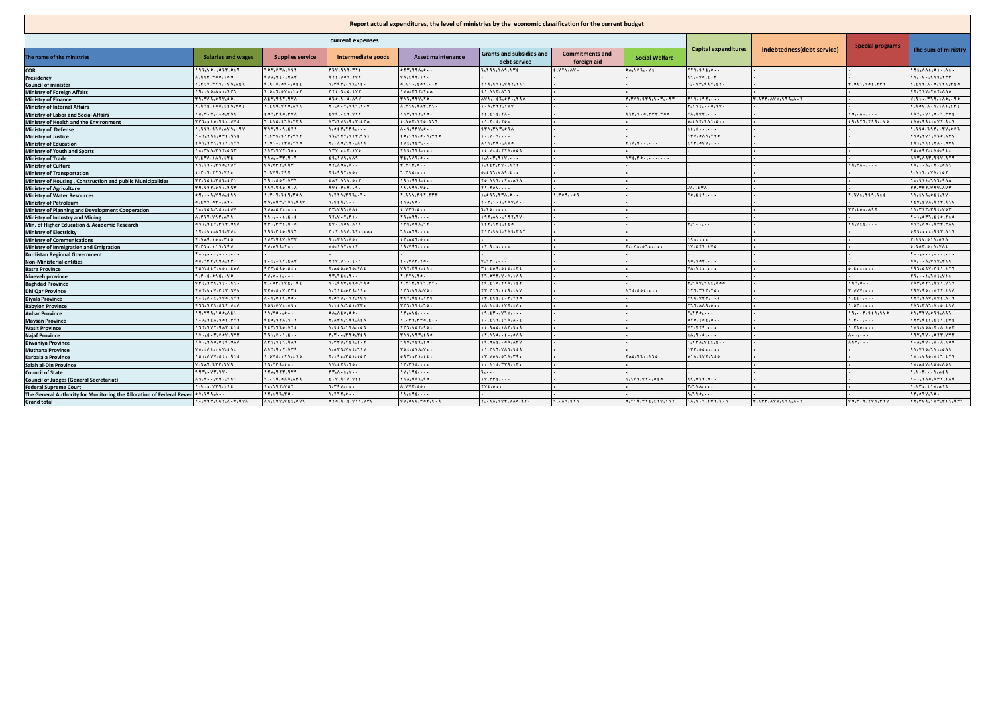| current expenses<br><b>Special programs</b><br>indebtedness(debt service)<br><b>Capital expenditures</b><br><b>Grants and subsidies and</b><br><b>Commitments and</b><br><b>Salaries and wages</b><br><b>Supplies service</b><br><b>Asset maintenance</b><br>The name of the ministries<br>Intermediate goods<br><b>Social Welfare</b><br>debt service<br>foreign aid<br>$\overline{\mathfrak{O}(\mathfrak{X},\mathfrak{Y},\mathfrak{Y},\mathfrak{Y},\mathfrak{Y},\mathfrak{Y})}$<br>115, 40, 657, 655<br><b>TOV: ATA: ASY</b><br>$r_1v_1q_1r_1r_1t_1$<br>1.799.189.17E<br>ELVYV.AV.<br>$0 \wedge 1 \wedge 1 \wedge 1 \wedge 1$<br>5.0015.011<br>ITE AALLOI . ALL<br><b>COR</b><br>A.997.700.100<br><b>ATELVOLLYVY</b><br>VALENTLIY.<br>11.110.117<br>11Y919.777<br><b>AVALYE.LYAY</b><br>Presidency<br>1. Y E J. T Y J. . YA. A E J<br>9.9.1.09.096<br>7.797.77.16.<br>$0.11 \cdot .101 \cdot .17$<br>113, 111, 111, 111<br>1.117.997.57.<br>1.091, 101, 111<br><b>Council of minister</b><br>$1 \forall \lambda_1 \forall 1 \forall_1 \forall_2 \forall \lambda$<br>91.497.477<br><b>TY.TIV.TYY.AAO</b><br>19.040.0011.777<br><b>Y.of \.oV  \.Y</b><br><b>TYELLEDLEVY</b><br><b>Ministry of Foreign Affairs</b><br><b>FILTALLOIV.00.</b><br>Atv.997.7VA<br>010.1.0.11V<br><b>٣٨٦،٩٢٧،٢٥.</b><br>r. LTT. AVV. SLL.A.Y<br>AY11101190<br>۰۰۰، ۱۹۲،۰۰۰<br><b>Ministry of Finance</b><br><b>A. T. T. Y. SAT. T.T.</b><br>1.1.777.1V1<br>۳،۱٦٤،۰۰۰،۱۷۰<br><b>T.STE. IOA. EEA.VO.</b><br>1.199.770.833<br>$Y \cdot .00 \cdot Y \cdot 197 \cdot 100$<br><b>Ministry of Internal Affairs</b><br>tor.rio.rvA<br>117.717.70.<br>4117.1.0.777.700<br>$1V_1V_2V_3V_4\ldots O_6V_6V_6$<br>EVA  EY.VYY<br>Yt.tit.YA.<br><b>TA. 177.</b><br>10A<br>$1\Lambda Y_1 \cdot Y_1 \cdot 0 \cdot 1 \cdot YY_2$<br><b>Ministry of Labor and Social Affairs</b><br>$TTT_{1}$ , $10,79$ , $104$<br>1.190.974.779<br>AT, TY3, 9. T, 5TA<br>1.107.110.111<br>11.7.1.70.<br>0.111.711.0<br>1.9.971.799V0<br>£AD, 99£, . VY, 9£Y<br>Ministry of Health and the Environment<br><b>ATALTYTLOSA</b><br>TAY, 9, 9, 11<br>1.011.1111<br>A.9.9111.0<br>1.591.95A.1YA.91<br><b>££،V••،•••</b><br><b>Ministry of Defense</b><br>$1.7.19$ f.or f.97 f<br>1.177.917.777<br>11.177.117.911<br>$to, \forall Y, o, \land, \forall Y o$<br>.<br>174.044.770<br><b>TIO, TVI, ALO, LTV</b><br><b>Ministry of Justice</b><br>A11.79AV0<br>$Y \wedge \wedge \cdots \wedge \cdots$<br><b>ETT.OVV</b><br>1.11.111.111.111<br>1.01.1177.770<br>Y. . AD. ST. ASS<br><b>EVECTETIOOO</b><br>£91.77£.7APVV<br><b>Ministry of Education</b><br>1.1441.711.017<br>1117.797.70.<br>17417.180<br>119.119<br><b>If.Vit.YYA.007</b><br>YOLORYLEAOLREE<br><b>Ministry of Youth and Sports</b><br>$Y \wedge \wedge \cdots \wedge Y \wedge Y \wedge Y$<br>£9.1V9.VA9<br><b>TickAlco</b><br>1.1.1.7.11Y<br>AAT.AST.SSV.STS<br>VILTAILLITE<br><b>Ministry of Trade</b><br>AYf, Yo, , ,<br>11.11110.117<br>VA.VYY.997<br>$OY_{i} \wedge O \wedge_{i} \wedge \ldots$<br>$T, T \setminus T, \sigma$<br>1.727.77171<br>19.71<br>$Y \wedge \cdots \wedge \cdots Y \cdots \circ \wedge Y$<br><b>Ministry of Culture</b><br>1.7.7.771.71.<br>7.779.797<br>19.997.90.<br>1.790<br>0.111.441.1<br>9. A 1 Y  VA. 1 0 Y<br><b>Ministry of Transportation</b><br>TT. LOS. TEL.ETI<br>19.4607.177<br><b><i>EATCALVED.T</i></b><br>191.979.1.<br>YO.A9Y. . Y AIA<br>1.411.111.444<br>Ministry of Housing, Construction and public Municipalities<br>117.190.7.1<br>11, 11, 11, 011, 111<br>TVECTET  9.<br>11.991.70.<br>Y1. Y0Y<br>$-V \cdot 157A$<br>TT.TTT.VYV.AVT<br><b>Ministry of Agriculture</b><br>1.7.1.111.70A<br>1.771.771.77.<br>1.011.1771.0<br>0.11.11.111.111<br>Y. LIV. MAY. YMY<br>۲۰۰۹،۰۰٦<br>Yout there.<br><b>Y. LY E. YAR. LEE</b><br>Il.tVl.off.YV.<br><b>Ministry of Water Resources</b><br>0.111107AY.<br>۴۸،۸۹۳،۹۸۹،۹۹۱<br>1.111.1<br><b>itA.Vo.</b><br>YEV. EVA. STY. STV<br><b>Ministry of Petroleum</b><br>$TT, f \circ \ldots \wedge 9.7$<br><b>YVALOYEL </b><br><b>TT.VIL.AAt</b><br>f, VT1, o.<br>7.70<br>11. TIT. Tit. Vor<br>Ministry of Planning and Development Cooperation<br><b>1.1907.761.6VV</b><br>A, T, T, V, T, A, T<br>Y1t<br>TT, V, T, T<br>$Y$ <sub>3</sub> $\Lambda$ $Y$ $Y$ <sub><math>1</math></sub> $\ldots$<br>$195.744 \cdot 195.744$<br>Y. I. OTT. LEO. YEO<br>Ministry of Industry and Mining<br>111.011.117.<br>0.71.757.777.09A<br>rrrrf.9.0<br>1V. 10V. A19<br><b>Liversitie</b><br>0.77.10.0477.774V<br>Min. of Higher Education & Academic Research<br><b><i>Telescore</i></b><br>$Y1.1$ $Y2.2$<br><b>IT.tV.AILTVE</b><br>199.720.991<br>$T - T - 19A - T + $<br>11. 111.<br><b>TIT.SVE. TAS. TIT</b><br>0.79.11.6497.117<br><b>Ministry of Electricity</b><br><b>Y.AA9.10. Tto</b><br>۱۷۳،۹۹۷،۸۳۳<br>1.5715.00<br>$i \nmid \Lambda \circ \Lambda, \circ \ldots$<br>T.19V.011.07A<br>,,,,,,,<br><b>Ministry of Communications</b><br>VOLIATIVIT<br>19.793<br>٢،٣٦٠،١١١١،٦٩٧<br>11.011.7<br>11.9<br>۱۷،٤٢٢،١٧٥<br>0.107.0.1.116<br>$Y_{i}$ , $V_{i}$ , $\phi$ $\tau$ , $\ldots$ ,<br>Ministry of Immigration and Emigration<br><b>Kurdistan Regional Government</b><br><b>T</b><br><b>T</b><br>0.1777, 0.177, 0.774<br>$t - t$ $\forall t \in \wedge \forall$<br>YYY.VI.LE.T<br>f. VAT. Yo.<br>$V \cdot V \cdot \cdot \cdot \cdot$<br>10.101<br>$0 \wedge \cdots \wedge \cdots \vee \vee \cdots \vee \wedge \wedge \wedge \wedge$<br><b>Non-Ministerial entities</b><br>117,010,01.<br><b>Y. ADD.OTO. YAS</b><br>$V1Y_1Y_2Y_3Y_4Y_1$<br>WiltoniotictVf<br>Yov.ttY.VotoA<br><b>VALLE </b><br>111.011.711.111<br>0.1.1.1<br><b>Basra Province</b><br>Y.YYY.YO.<br><b>YLOVY.V.A.1A9</b><br>1.7.1.011V0<br>11.0.1<br>YY. LEE.Y<br>Ties TVECVIE<br>Nineveh province<br>VT 1.1T 1.1111.<br>1.1111.419.790.790<br>${\bf y}_1 {\bf y}_1 {\bf y}_2 {\bf y}_3 {\bf y}_4 {\bf y}_5 {\bf y}_6 {\bf y}_7$<br><b>٣،٦٨٧، 111: ٨٥٥</b><br>197.0<br>$Y_t$ , $oY_t$ , $Vf_t$ , $i$ if<br>Y 9. E 10. YYA. 1 E 1<br>$VATC = YTC1T1CV1T$<br><b>Baghdad Province</b><br>1.711.079.11.<br>۱۲٦،۳۲۳،۲۰۰<br><b>TYT.V.V.TET.JVV</b><br>$rro_{i}t \cdot V_{i}rrt$<br>ITT.VYA.VO.<br>TT.TIT.It9VV<br>Y: VVV<br><b>Dhi Qar Province</b><br>ITfitofines<br><b>797.90. YTT.19A</b><br>A.9.019.00.<br><b>Y.OSVSY.YVS</b><br>111.961.1179<br>IT.tit.t.T.Tio<br><b>797.7771</b><br>$Y - 2$ . $A - 2$ . $T V = 1$<br>1.11<br><b>TTY. TAV. VVE.A. T</b><br>Diyala Province<br><b>TIT.TT9.ETT.VEA</b><br>YOR.AVE.VR.<br>$1.1111.101.177.$<br>۳۳٦،۲۲٤،۹۰۰<br>IA.Itt.IVY.tA.<br>777.AA9.o. .<br>1.01<br><b>TALLTALLA.o.fiA</b><br><b>Babylon Province</b><br>17.V99.100.At1<br>14.70.00.0<br>$0 \wedge A f 0.00$<br>IT.AVf<br>19.111.1111<br><b>Y.YYO</b><br>197.921.970<br>01.777.019.117<br><b>Anbar Province</b><br>110.111.1.1.1<br><b>Y.ATI.199.AtA</b><br>1.1.71.770.5.<br>1.1.1111.101.1711<br>$\cdots$ : $\cdots$ . $\cdots$<br>$0 \times 0$ , $i \times i$ , $o \cdot \cdot$<br>1.7<br><b>ITT. SEE.EEI.EVE</b><br><b>Maysan Province</b><br>ITT.TYT.SAT.EIE<br>YETLIOCATE<br>1.111.174<br>TTI.VOY. JO.<br>11.940.147.9.9<br>. 1 7 1 . V Y<br>1.710<br>1V9.VOA.Y.A.10T<br><b>Wasit Province</b><br>1A.LE. T.AOV. IVT<br>111cA - 1c£ - -<br>$T, T, \ldots, T, T, \sigma, T, \epsilon$<br><b>٣٨٩،٧٩٣،٤٦٥</b><br>17.810.01.081<br><b>the correct</b><br>$\lambda$<br>1111.74.077.777<br><b>Najaf Province</b><br>$\wedge \wedge \wedge \cdots$<br>1A. (YAO (OfficaAA<br>11.71.767.917<br>I. TTV. YEL.E. Y<br>19V.119.10.<br>19,004,000,000<br>I. TTA. Vit.t.<br>$Y - \Lambda, 9V - \Lambda, 7.09$<br>Diwaniya Province<br>VV.tA1VV.tAt<br>$\lambda$ 12.9.7. $\lambda$ 79<br>1.073. YV1. 31V<br>$Y \circ f \circ \Lambda \wedge V \cdot$<br>11.793.783.919<br>1177.001<br>91.710.11.019<br><b>Muthana Province</b><br>09771.11.<br>101.AVV.tt91t<br>1.09211711210<br>Y, 19, .701, 107<br>11.499.011.79.<br>$Y \wedge o, Y$ 1.110<br>011.1117.160<br>1V. Vio.Vil.ETT<br>Karbala'a Province<br>11.179.1.4.4<br>$1.111$ $1.55$ $1.15$<br>77.1777.179<br>11.579.70.<br>11.111<br>$1V, \Lambda E V, 900, \Lambda 09$<br>Salah al-Din Province<br>11717.11.<br>174.977.979<br>$TTiA + EiV + 1$<br>11.115<br>1.<br>1.1.71.141<br><b>Council of State</b><br><b>t.V.SIA.Vii</b><br><b>TIA, 9A1, 90.</b><br>$1V_1$ TT $t_1$<br>A1.V V Y 111<br><b>J. 19.0AA.AFS</b><br>1.1V1.VY610<br>11.017.0<br>1 140. ATT. 149<br><b>Council of Judges (General Secretariat)</b><br>$1.1 - .0477.114$<br>1.111.407<br>5.799<br>A.VVT.to.<br>YVí.o<br>۳،۶۱۸،۰۰۰<br>1.11111.11<br><b>Federal Supreme Court</b><br>The General Authority for Monitoring the Allocation of Federal Revent OA. 199.A.<br>11.595.704<br>1.717.0<br>11.111<br>1.110.1.1<br><b>AT.01V.10.</b> | Report actual expenditures, the level of ministries by the economic classification for the current budget |                                    |                |                      |                   |                       |      |                   |                           |                       |                    |                          |
|--------------------------------------------------------------------------------------------------------------------------------------------------------------------------------------------------------------------------------------------------------------------------------------------------------------------------------------------------------------------------------------------------------------------------------------------------------------------------------------------------------------------------------------------------------------------------------------------------------------------------------------------------------------------------------------------------------------------------------------------------------------------------------------------------------------------------------------------------------------------------------------------------------------------------------------------------------------------------------------------------------------------------------------------------------------------------------------------------------------------------------------------------------------------------------------------------------------------------------------------------------------------------------------------------------------------------------------------------------------------------------------------------------------------------------------------------------------------------------------------------------------------------------------------------------------------------------------------------------------------------------------------------------------------------------------------------------------------------------------------------------------------------------------------------------------------------------------------------------------------------------------------------------------------------------------------------------------------------------------------------------------------------------------------------------------------------------------------------------------------------------------------------------------------------------------------------------------------------------------------------------------------------------------------------------------------------------------------------------------------------------------------------------------------------------------------------------------------------------------------------------------------------------------------------------------------------------------------------------------------------------------------------------------------------------------------------------------------------------------------------------------------------------------------------------------------------------------------------------------------------------------------------------------------------------------------------------------------------------------------------------------------------------------------------------------------------------------------------------------------------------------------------------------------------------------------------------------------------------------------------------------------------------------------------------------------------------------------------------------------------------------------------------------------------------------------------------------------------------------------------------------------------------------------------------------------------------------------------------------------------------------------------------------------------------------------------------------------------------------------------------------------------------------------------------------------------------------------------------------------------------------------------------------------------------------------------------------------------------------------------------------------------------------------------------------------------------------------------------------------------------------------------------------------------------------------------------------------------------------------------------------------------------------------------------------------------------------------------------------------------------------------------------------------------------------------------------------------------------------------------------------------------------------------------------------------------------------------------------------------------------------------------------------------------------------------------------------------------------------------------------------------------------------------------------------------------------------------------------------------------------------------------------------------------------------------------------------------------------------------------------------------------------------------------------------------------------------------------------------------------------------------------------------------------------------------------------------------------------------------------------------------------------------------------------------------------------------------------------------------------------------------------------------------------------------------------------------------------------------------------------------------------------------------------------------------------------------------------------------------------------------------------------------------------------------------------------------------------------------------------------------------------------------------------------------------------------------------------------------------------------------------------------------------------------------------------------------------------------------------------------------------------------------------------------------------------------------------------------------------------------------------------------------------------------------------------------------------------------------------------------------------------------------------------------------------------------------------------------------------------------------------------------------------------------------------------------------------------------------------------------------------------------------------------------------------------------------------------------------------------------------------------------------------------------------------------------------------------------------------------------------------------------------------------------------------------------------------------------------------------------------------------------------------------------------------------------------------------------------------------------------------------------------------------------------------------------------------------------------------------------------------------------------------------------------------------------------------------------------------------------------------------------------------------------------------------------------------------------------------------------------------------------------------------------------------------------------------------------------------------------------------------------------------------------------------------------------------------------------------------------------------------------------------------------------------------------------------------------------------------------------------------------------------------------------------------------------------------------------------------------------------------------------------------------------------------------------------------------------------------------------------------------------------------------------------------------------------------------------------------------------------------------------------------------------------------------------------------------------------------------------------------------------------------------------------------------------------------------------------------------------------------------------------------------------------------------------------------------------------------------------------------------------------------------------------------------------------------------------------------------------------------------------------------------------|-----------------------------------------------------------------------------------------------------------|------------------------------------|----------------|----------------------|-------------------|-----------------------|------|-------------------|---------------------------|-----------------------|--------------------|--------------------------|
|                                                                                                                                                                                                                                                                                                                                                                                                                                                                                                                                                                                                                                                                                                                                                                                                                                                                                                                                                                                                                                                                                                                                                                                                                                                                                                                                                                                                                                                                                                                                                                                                                                                                                                                                                                                                                                                                                                                                                                                                                                                                                                                                                                                                                                                                                                                                                                                                                                                                                                                                                                                                                                                                                                                                                                                                                                                                                                                                                                                                                                                                                                                                                                                                                                                                                                                                                                                                                                                                                                                                                                                                                                                                                                                                                                                                                                                                                                                                                                                                                                                                                                                                                                                                                                                                                                                                                                                                                                                                                                                                                                                                                                                                                                                                                                                                                                                                                                                                                                                                                                                                                                                                                                                                                                                                                                                                                                                                                                                                                                                                                                                                                                                                                                                                                                                                                                                                                                                                                                                                                                                                                                                                                                                                                                                                                                                                                                                                                                                                                                                                                                                                                                                                                                                                                                                                                                                                                                                                                                                                                                                                                                                                                                                                                                                                                                                                                                                                                                                                                                                                                                                                                                                                                                                                                                                                                                                                                                                                                                                                                                                                                                                                                                                                                                                                                                                                                                                                                                                                                                                                                                                                                                                                                      |                                                                                                           |                                    |                |                      |                   |                       |      |                   |                           |                       |                    |                          |
|                                                                                                                                                                                                                                                                                                                                                                                                                                                                                                                                                                                                                                                                                                                                                                                                                                                                                                                                                                                                                                                                                                                                                                                                                                                                                                                                                                                                                                                                                                                                                                                                                                                                                                                                                                                                                                                                                                                                                                                                                                                                                                                                                                                                                                                                                                                                                                                                                                                                                                                                                                                                                                                                                                                                                                                                                                                                                                                                                                                                                                                                                                                                                                                                                                                                                                                                                                                                                                                                                                                                                                                                                                                                                                                                                                                                                                                                                                                                                                                                                                                                                                                                                                                                                                                                                                                                                                                                                                                                                                                                                                                                                                                                                                                                                                                                                                                                                                                                                                                                                                                                                                                                                                                                                                                                                                                                                                                                                                                                                                                                                                                                                                                                                                                                                                                                                                                                                                                                                                                                                                                                                                                                                                                                                                                                                                                                                                                                                                                                                                                                                                                                                                                                                                                                                                                                                                                                                                                                                                                                                                                                                                                                                                                                                                                                                                                                                                                                                                                                                                                                                                                                                                                                                                                                                                                                                                                                                                                                                                                                                                                                                                                                                                                                                                                                                                                                                                                                                                                                                                                                                                                                                                                                                      |                                                                                                           |                                    |                |                      |                   |                       |      |                   |                           |                       |                    | The sum of ministry      |
|                                                                                                                                                                                                                                                                                                                                                                                                                                                                                                                                                                                                                                                                                                                                                                                                                                                                                                                                                                                                                                                                                                                                                                                                                                                                                                                                                                                                                                                                                                                                                                                                                                                                                                                                                                                                                                                                                                                                                                                                                                                                                                                                                                                                                                                                                                                                                                                                                                                                                                                                                                                                                                                                                                                                                                                                                                                                                                                                                                                                                                                                                                                                                                                                                                                                                                                                                                                                                                                                                                                                                                                                                                                                                                                                                                                                                                                                                                                                                                                                                                                                                                                                                                                                                                                                                                                                                                                                                                                                                                                                                                                                                                                                                                                                                                                                                                                                                                                                                                                                                                                                                                                                                                                                                                                                                                                                                                                                                                                                                                                                                                                                                                                                                                                                                                                                                                                                                                                                                                                                                                                                                                                                                                                                                                                                                                                                                                                                                                                                                                                                                                                                                                                                                                                                                                                                                                                                                                                                                                                                                                                                                                                                                                                                                                                                                                                                                                                                                                                                                                                                                                                                                                                                                                                                                                                                                                                                                                                                                                                                                                                                                                                                                                                                                                                                                                                                                                                                                                                                                                                                                                                                                                                                                      |                                                                                                           |                                    |                |                      |                   |                       |      |                   |                           |                       |                    |                          |
|                                                                                                                                                                                                                                                                                                                                                                                                                                                                                                                                                                                                                                                                                                                                                                                                                                                                                                                                                                                                                                                                                                                                                                                                                                                                                                                                                                                                                                                                                                                                                                                                                                                                                                                                                                                                                                                                                                                                                                                                                                                                                                                                                                                                                                                                                                                                                                                                                                                                                                                                                                                                                                                                                                                                                                                                                                                                                                                                                                                                                                                                                                                                                                                                                                                                                                                                                                                                                                                                                                                                                                                                                                                                                                                                                                                                                                                                                                                                                                                                                                                                                                                                                                                                                                                                                                                                                                                                                                                                                                                                                                                                                                                                                                                                                                                                                                                                                                                                                                                                                                                                                                                                                                                                                                                                                                                                                                                                                                                                                                                                                                                                                                                                                                                                                                                                                                                                                                                                                                                                                                                                                                                                                                                                                                                                                                                                                                                                                                                                                                                                                                                                                                                                                                                                                                                                                                                                                                                                                                                                                                                                                                                                                                                                                                                                                                                                                                                                                                                                                                                                                                                                                                                                                                                                                                                                                                                                                                                                                                                                                                                                                                                                                                                                                                                                                                                                                                                                                                                                                                                                                                                                                                                                                      |                                                                                                           |                                    |                |                      |                   |                       |      |                   |                           |                       |                    |                          |
|                                                                                                                                                                                                                                                                                                                                                                                                                                                                                                                                                                                                                                                                                                                                                                                                                                                                                                                                                                                                                                                                                                                                                                                                                                                                                                                                                                                                                                                                                                                                                                                                                                                                                                                                                                                                                                                                                                                                                                                                                                                                                                                                                                                                                                                                                                                                                                                                                                                                                                                                                                                                                                                                                                                                                                                                                                                                                                                                                                                                                                                                                                                                                                                                                                                                                                                                                                                                                                                                                                                                                                                                                                                                                                                                                                                                                                                                                                                                                                                                                                                                                                                                                                                                                                                                                                                                                                                                                                                                                                                                                                                                                                                                                                                                                                                                                                                                                                                                                                                                                                                                                                                                                                                                                                                                                                                                                                                                                                                                                                                                                                                                                                                                                                                                                                                                                                                                                                                                                                                                                                                                                                                                                                                                                                                                                                                                                                                                                                                                                                                                                                                                                                                                                                                                                                                                                                                                                                                                                                                                                                                                                                                                                                                                                                                                                                                                                                                                                                                                                                                                                                                                                                                                                                                                                                                                                                                                                                                                                                                                                                                                                                                                                                                                                                                                                                                                                                                                                                                                                                                                                                                                                                                                                      |                                                                                                           |                                    |                |                      |                   |                       |      |                   |                           |                       |                    | 1.197.1.0.177.710        |
|                                                                                                                                                                                                                                                                                                                                                                                                                                                                                                                                                                                                                                                                                                                                                                                                                                                                                                                                                                                                                                                                                                                                                                                                                                                                                                                                                                                                                                                                                                                                                                                                                                                                                                                                                                                                                                                                                                                                                                                                                                                                                                                                                                                                                                                                                                                                                                                                                                                                                                                                                                                                                                                                                                                                                                                                                                                                                                                                                                                                                                                                                                                                                                                                                                                                                                                                                                                                                                                                                                                                                                                                                                                                                                                                                                                                                                                                                                                                                                                                                                                                                                                                                                                                                                                                                                                                                                                                                                                                                                                                                                                                                                                                                                                                                                                                                                                                                                                                                                                                                                                                                                                                                                                                                                                                                                                                                                                                                                                                                                                                                                                                                                                                                                                                                                                                                                                                                                                                                                                                                                                                                                                                                                                                                                                                                                                                                                                                                                                                                                                                                                                                                                                                                                                                                                                                                                                                                                                                                                                                                                                                                                                                                                                                                                                                                                                                                                                                                                                                                                                                                                                                                                                                                                                                                                                                                                                                                                                                                                                                                                                                                                                                                                                                                                                                                                                                                                                                                                                                                                                                                                                                                                                                                      |                                                                                                           |                                    |                |                      |                   |                       |      |                   |                           |                       |                    |                          |
|                                                                                                                                                                                                                                                                                                                                                                                                                                                                                                                                                                                                                                                                                                                                                                                                                                                                                                                                                                                                                                                                                                                                                                                                                                                                                                                                                                                                                                                                                                                                                                                                                                                                                                                                                                                                                                                                                                                                                                                                                                                                                                                                                                                                                                                                                                                                                                                                                                                                                                                                                                                                                                                                                                                                                                                                                                                                                                                                                                                                                                                                                                                                                                                                                                                                                                                                                                                                                                                                                                                                                                                                                                                                                                                                                                                                                                                                                                                                                                                                                                                                                                                                                                                                                                                                                                                                                                                                                                                                                                                                                                                                                                                                                                                                                                                                                                                                                                                                                                                                                                                                                                                                                                                                                                                                                                                                                                                                                                                                                                                                                                                                                                                                                                                                                                                                                                                                                                                                                                                                                                                                                                                                                                                                                                                                                                                                                                                                                                                                                                                                                                                                                                                                                                                                                                                                                                                                                                                                                                                                                                                                                                                                                                                                                                                                                                                                                                                                                                                                                                                                                                                                                                                                                                                                                                                                                                                                                                                                                                                                                                                                                                                                                                                                                                                                                                                                                                                                                                                                                                                                                                                                                                                                                      |                                                                                                           |                                    |                |                      |                   |                       |      |                   |                           |                       |                    | $V_1 9 1.7777.100.900$   |
|                                                                                                                                                                                                                                                                                                                                                                                                                                                                                                                                                                                                                                                                                                                                                                                                                                                                                                                                                                                                                                                                                                                                                                                                                                                                                                                                                                                                                                                                                                                                                                                                                                                                                                                                                                                                                                                                                                                                                                                                                                                                                                                                                                                                                                                                                                                                                                                                                                                                                                                                                                                                                                                                                                                                                                                                                                                                                                                                                                                                                                                                                                                                                                                                                                                                                                                                                                                                                                                                                                                                                                                                                                                                                                                                                                                                                                                                                                                                                                                                                                                                                                                                                                                                                                                                                                                                                                                                                                                                                                                                                                                                                                                                                                                                                                                                                                                                                                                                                                                                                                                                                                                                                                                                                                                                                                                                                                                                                                                                                                                                                                                                                                                                                                                                                                                                                                                                                                                                                                                                                                                                                                                                                                                                                                                                                                                                                                                                                                                                                                                                                                                                                                                                                                                                                                                                                                                                                                                                                                                                                                                                                                                                                                                                                                                                                                                                                                                                                                                                                                                                                                                                                                                                                                                                                                                                                                                                                                                                                                                                                                                                                                                                                                                                                                                                                                                                                                                                                                                                                                                                                                                                                                                                                      |                                                                                                           |                                    |                |                      |                   |                       |      |                   |                           |                       |                    | Y. ROV. A . I. I AI. ETE |
|                                                                                                                                                                                                                                                                                                                                                                                                                                                                                                                                                                                                                                                                                                                                                                                                                                                                                                                                                                                                                                                                                                                                                                                                                                                                                                                                                                                                                                                                                                                                                                                                                                                                                                                                                                                                                                                                                                                                                                                                                                                                                                                                                                                                                                                                                                                                                                                                                                                                                                                                                                                                                                                                                                                                                                                                                                                                                                                                                                                                                                                                                                                                                                                                                                                                                                                                                                                                                                                                                                                                                                                                                                                                                                                                                                                                                                                                                                                                                                                                                                                                                                                                                                                                                                                                                                                                                                                                                                                                                                                                                                                                                                                                                                                                                                                                                                                                                                                                                                                                                                                                                                                                                                                                                                                                                                                                                                                                                                                                                                                                                                                                                                                                                                                                                                                                                                                                                                                                                                                                                                                                                                                                                                                                                                                                                                                                                                                                                                                                                                                                                                                                                                                                                                                                                                                                                                                                                                                                                                                                                                                                                                                                                                                                                                                                                                                                                                                                                                                                                                                                                                                                                                                                                                                                                                                                                                                                                                                                                                                                                                                                                                                                                                                                                                                                                                                                                                                                                                                                                                                                                                                                                                                                                      |                                                                                                           |                                    |                |                      |                   |                       |      |                   |                           |                       |                    |                          |
|                                                                                                                                                                                                                                                                                                                                                                                                                                                                                                                                                                                                                                                                                                                                                                                                                                                                                                                                                                                                                                                                                                                                                                                                                                                                                                                                                                                                                                                                                                                                                                                                                                                                                                                                                                                                                                                                                                                                                                                                                                                                                                                                                                                                                                                                                                                                                                                                                                                                                                                                                                                                                                                                                                                                                                                                                                                                                                                                                                                                                                                                                                                                                                                                                                                                                                                                                                                                                                                                                                                                                                                                                                                                                                                                                                                                                                                                                                                                                                                                                                                                                                                                                                                                                                                                                                                                                                                                                                                                                                                                                                                                                                                                                                                                                                                                                                                                                                                                                                                                                                                                                                                                                                                                                                                                                                                                                                                                                                                                                                                                                                                                                                                                                                                                                                                                                                                                                                                                                                                                                                                                                                                                                                                                                                                                                                                                                                                                                                                                                                                                                                                                                                                                                                                                                                                                                                                                                                                                                                                                                                                                                                                                                                                                                                                                                                                                                                                                                                                                                                                                                                                                                                                                                                                                                                                                                                                                                                                                                                                                                                                                                                                                                                                                                                                                                                                                                                                                                                                                                                                                                                                                                                                                                      |                                                                                                           |                                    |                |                      |                   |                       |      |                   |                           |                       |                    |                          |
|                                                                                                                                                                                                                                                                                                                                                                                                                                                                                                                                                                                                                                                                                                                                                                                                                                                                                                                                                                                                                                                                                                                                                                                                                                                                                                                                                                                                                                                                                                                                                                                                                                                                                                                                                                                                                                                                                                                                                                                                                                                                                                                                                                                                                                                                                                                                                                                                                                                                                                                                                                                                                                                                                                                                                                                                                                                                                                                                                                                                                                                                                                                                                                                                                                                                                                                                                                                                                                                                                                                                                                                                                                                                                                                                                                                                                                                                                                                                                                                                                                                                                                                                                                                                                                                                                                                                                                                                                                                                                                                                                                                                                                                                                                                                                                                                                                                                                                                                                                                                                                                                                                                                                                                                                                                                                                                                                                                                                                                                                                                                                                                                                                                                                                                                                                                                                                                                                                                                                                                                                                                                                                                                                                                                                                                                                                                                                                                                                                                                                                                                                                                                                                                                                                                                                                                                                                                                                                                                                                                                                                                                                                                                                                                                                                                                                                                                                                                                                                                                                                                                                                                                                                                                                                                                                                                                                                                                                                                                                                                                                                                                                                                                                                                                                                                                                                                                                                                                                                                                                                                                                                                                                                                                                      |                                                                                                           |                                    |                |                      |                   |                       |      |                   |                           |                       |                    | 1.190.197.774.011        |
|                                                                                                                                                                                                                                                                                                                                                                                                                                                                                                                                                                                                                                                                                                                                                                                                                                                                                                                                                                                                                                                                                                                                                                                                                                                                                                                                                                                                                                                                                                                                                                                                                                                                                                                                                                                                                                                                                                                                                                                                                                                                                                                                                                                                                                                                                                                                                                                                                                                                                                                                                                                                                                                                                                                                                                                                                                                                                                                                                                                                                                                                                                                                                                                                                                                                                                                                                                                                                                                                                                                                                                                                                                                                                                                                                                                                                                                                                                                                                                                                                                                                                                                                                                                                                                                                                                                                                                                                                                                                                                                                                                                                                                                                                                                                                                                                                                                                                                                                                                                                                                                                                                                                                                                                                                                                                                                                                                                                                                                                                                                                                                                                                                                                                                                                                                                                                                                                                                                                                                                                                                                                                                                                                                                                                                                                                                                                                                                                                                                                                                                                                                                                                                                                                                                                                                                                                                                                                                                                                                                                                                                                                                                                                                                                                                                                                                                                                                                                                                                                                                                                                                                                                                                                                                                                                                                                                                                                                                                                                                                                                                                                                                                                                                                                                                                                                                                                                                                                                                                                                                                                                                                                                                                                                      |                                                                                                           |                                    |                |                      |                   |                       |      |                   |                           |                       |                    |                          |
|                                                                                                                                                                                                                                                                                                                                                                                                                                                                                                                                                                                                                                                                                                                                                                                                                                                                                                                                                                                                                                                                                                                                                                                                                                                                                                                                                                                                                                                                                                                                                                                                                                                                                                                                                                                                                                                                                                                                                                                                                                                                                                                                                                                                                                                                                                                                                                                                                                                                                                                                                                                                                                                                                                                                                                                                                                                                                                                                                                                                                                                                                                                                                                                                                                                                                                                                                                                                                                                                                                                                                                                                                                                                                                                                                                                                                                                                                                                                                                                                                                                                                                                                                                                                                                                                                                                                                                                                                                                                                                                                                                                                                                                                                                                                                                                                                                                                                                                                                                                                                                                                                                                                                                                                                                                                                                                                                                                                                                                                                                                                                                                                                                                                                                                                                                                                                                                                                                                                                                                                                                                                                                                                                                                                                                                                                                                                                                                                                                                                                                                                                                                                                                                                                                                                                                                                                                                                                                                                                                                                                                                                                                                                                                                                                                                                                                                                                                                                                                                                                                                                                                                                                                                                                                                                                                                                                                                                                                                                                                                                                                                                                                                                                                                                                                                                                                                                                                                                                                                                                                                                                                                                                                                                                      |                                                                                                           |                                    |                |                      |                   |                       |      |                   |                           |                       |                    |                          |
|                                                                                                                                                                                                                                                                                                                                                                                                                                                                                                                                                                                                                                                                                                                                                                                                                                                                                                                                                                                                                                                                                                                                                                                                                                                                                                                                                                                                                                                                                                                                                                                                                                                                                                                                                                                                                                                                                                                                                                                                                                                                                                                                                                                                                                                                                                                                                                                                                                                                                                                                                                                                                                                                                                                                                                                                                                                                                                                                                                                                                                                                                                                                                                                                                                                                                                                                                                                                                                                                                                                                                                                                                                                                                                                                                                                                                                                                                                                                                                                                                                                                                                                                                                                                                                                                                                                                                                                                                                                                                                                                                                                                                                                                                                                                                                                                                                                                                                                                                                                                                                                                                                                                                                                                                                                                                                                                                                                                                                                                                                                                                                                                                                                                                                                                                                                                                                                                                                                                                                                                                                                                                                                                                                                                                                                                                                                                                                                                                                                                                                                                                                                                                                                                                                                                                                                                                                                                                                                                                                                                                                                                                                                                                                                                                                                                                                                                                                                                                                                                                                                                                                                                                                                                                                                                                                                                                                                                                                                                                                                                                                                                                                                                                                                                                                                                                                                                                                                                                                                                                                                                                                                                                                                                                      |                                                                                                           |                                    |                |                      |                   |                       |      |                   |                           |                       |                    |                          |
|                                                                                                                                                                                                                                                                                                                                                                                                                                                                                                                                                                                                                                                                                                                                                                                                                                                                                                                                                                                                                                                                                                                                                                                                                                                                                                                                                                                                                                                                                                                                                                                                                                                                                                                                                                                                                                                                                                                                                                                                                                                                                                                                                                                                                                                                                                                                                                                                                                                                                                                                                                                                                                                                                                                                                                                                                                                                                                                                                                                                                                                                                                                                                                                                                                                                                                                                                                                                                                                                                                                                                                                                                                                                                                                                                                                                                                                                                                                                                                                                                                                                                                                                                                                                                                                                                                                                                                                                                                                                                                                                                                                                                                                                                                                                                                                                                                                                                                                                                                                                                                                                                                                                                                                                                                                                                                                                                                                                                                                                                                                                                                                                                                                                                                                                                                                                                                                                                                                                                                                                                                                                                                                                                                                                                                                                                                                                                                                                                                                                                                                                                                                                                                                                                                                                                                                                                                                                                                                                                                                                                                                                                                                                                                                                                                                                                                                                                                                                                                                                                                                                                                                                                                                                                                                                                                                                                                                                                                                                                                                                                                                                                                                                                                                                                                                                                                                                                                                                                                                                                                                                                                                                                                                                                      |                                                                                                           |                                    |                |                      |                   |                       |      |                   |                           |                       |                    |                          |
|                                                                                                                                                                                                                                                                                                                                                                                                                                                                                                                                                                                                                                                                                                                                                                                                                                                                                                                                                                                                                                                                                                                                                                                                                                                                                                                                                                                                                                                                                                                                                                                                                                                                                                                                                                                                                                                                                                                                                                                                                                                                                                                                                                                                                                                                                                                                                                                                                                                                                                                                                                                                                                                                                                                                                                                                                                                                                                                                                                                                                                                                                                                                                                                                                                                                                                                                                                                                                                                                                                                                                                                                                                                                                                                                                                                                                                                                                                                                                                                                                                                                                                                                                                                                                                                                                                                                                                                                                                                                                                                                                                                                                                                                                                                                                                                                                                                                                                                                                                                                                                                                                                                                                                                                                                                                                                                                                                                                                                                                                                                                                                                                                                                                                                                                                                                                                                                                                                                                                                                                                                                                                                                                                                                                                                                                                                                                                                                                                                                                                                                                                                                                                                                                                                                                                                                                                                                                                                                                                                                                                                                                                                                                                                                                                                                                                                                                                                                                                                                                                                                                                                                                                                                                                                                                                                                                                                                                                                                                                                                                                                                                                                                                                                                                                                                                                                                                                                                                                                                                                                                                                                                                                                                                                      |                                                                                                           |                                    |                |                      |                   |                       |      |                   |                           |                       |                    |                          |
|                                                                                                                                                                                                                                                                                                                                                                                                                                                                                                                                                                                                                                                                                                                                                                                                                                                                                                                                                                                                                                                                                                                                                                                                                                                                                                                                                                                                                                                                                                                                                                                                                                                                                                                                                                                                                                                                                                                                                                                                                                                                                                                                                                                                                                                                                                                                                                                                                                                                                                                                                                                                                                                                                                                                                                                                                                                                                                                                                                                                                                                                                                                                                                                                                                                                                                                                                                                                                                                                                                                                                                                                                                                                                                                                                                                                                                                                                                                                                                                                                                                                                                                                                                                                                                                                                                                                                                                                                                                                                                                                                                                                                                                                                                                                                                                                                                                                                                                                                                                                                                                                                                                                                                                                                                                                                                                                                                                                                                                                                                                                                                                                                                                                                                                                                                                                                                                                                                                                                                                                                                                                                                                                                                                                                                                                                                                                                                                                                                                                                                                                                                                                                                                                                                                                                                                                                                                                                                                                                                                                                                                                                                                                                                                                                                                                                                                                                                                                                                                                                                                                                                                                                                                                                                                                                                                                                                                                                                                                                                                                                                                                                                                                                                                                                                                                                                                                                                                                                                                                                                                                                                                                                                                                                      |                                                                                                           |                                    |                |                      |                   |                       |      |                   |                           |                       |                    |                          |
|                                                                                                                                                                                                                                                                                                                                                                                                                                                                                                                                                                                                                                                                                                                                                                                                                                                                                                                                                                                                                                                                                                                                                                                                                                                                                                                                                                                                                                                                                                                                                                                                                                                                                                                                                                                                                                                                                                                                                                                                                                                                                                                                                                                                                                                                                                                                                                                                                                                                                                                                                                                                                                                                                                                                                                                                                                                                                                                                                                                                                                                                                                                                                                                                                                                                                                                                                                                                                                                                                                                                                                                                                                                                                                                                                                                                                                                                                                                                                                                                                                                                                                                                                                                                                                                                                                                                                                                                                                                                                                                                                                                                                                                                                                                                                                                                                                                                                                                                                                                                                                                                                                                                                                                                                                                                                                                                                                                                                                                                                                                                                                                                                                                                                                                                                                                                                                                                                                                                                                                                                                                                                                                                                                                                                                                                                                                                                                                                                                                                                                                                                                                                                                                                                                                                                                                                                                                                                                                                                                                                                                                                                                                                                                                                                                                                                                                                                                                                                                                                                                                                                                                                                                                                                                                                                                                                                                                                                                                                                                                                                                                                                                                                                                                                                                                                                                                                                                                                                                                                                                                                                                                                                                                                                      |                                                                                                           |                                    |                |                      |                   |                       |      |                   |                           |                       |                    |                          |
|                                                                                                                                                                                                                                                                                                                                                                                                                                                                                                                                                                                                                                                                                                                                                                                                                                                                                                                                                                                                                                                                                                                                                                                                                                                                                                                                                                                                                                                                                                                                                                                                                                                                                                                                                                                                                                                                                                                                                                                                                                                                                                                                                                                                                                                                                                                                                                                                                                                                                                                                                                                                                                                                                                                                                                                                                                                                                                                                                                                                                                                                                                                                                                                                                                                                                                                                                                                                                                                                                                                                                                                                                                                                                                                                                                                                                                                                                                                                                                                                                                                                                                                                                                                                                                                                                                                                                                                                                                                                                                                                                                                                                                                                                                                                                                                                                                                                                                                                                                                                                                                                                                                                                                                                                                                                                                                                                                                                                                                                                                                                                                                                                                                                                                                                                                                                                                                                                                                                                                                                                                                                                                                                                                                                                                                                                                                                                                                                                                                                                                                                                                                                                                                                                                                                                                                                                                                                                                                                                                                                                                                                                                                                                                                                                                                                                                                                                                                                                                                                                                                                                                                                                                                                                                                                                                                                                                                                                                                                                                                                                                                                                                                                                                                                                                                                                                                                                                                                                                                                                                                                                                                                                                                                                      |                                                                                                           |                                    |                |                      |                   |                       |      |                   |                           |                       |                    |                          |
|                                                                                                                                                                                                                                                                                                                                                                                                                                                                                                                                                                                                                                                                                                                                                                                                                                                                                                                                                                                                                                                                                                                                                                                                                                                                                                                                                                                                                                                                                                                                                                                                                                                                                                                                                                                                                                                                                                                                                                                                                                                                                                                                                                                                                                                                                                                                                                                                                                                                                                                                                                                                                                                                                                                                                                                                                                                                                                                                                                                                                                                                                                                                                                                                                                                                                                                                                                                                                                                                                                                                                                                                                                                                                                                                                                                                                                                                                                                                                                                                                                                                                                                                                                                                                                                                                                                                                                                                                                                                                                                                                                                                                                                                                                                                                                                                                                                                                                                                                                                                                                                                                                                                                                                                                                                                                                                                                                                                                                                                                                                                                                                                                                                                                                                                                                                                                                                                                                                                                                                                                                                                                                                                                                                                                                                                                                                                                                                                                                                                                                                                                                                                                                                                                                                                                                                                                                                                                                                                                                                                                                                                                                                                                                                                                                                                                                                                                                                                                                                                                                                                                                                                                                                                                                                                                                                                                                                                                                                                                                                                                                                                                                                                                                                                                                                                                                                                                                                                                                                                                                                                                                                                                                                                                      |                                                                                                           |                                    |                |                      |                   |                       |      |                   |                           |                       |                    |                          |
|                                                                                                                                                                                                                                                                                                                                                                                                                                                                                                                                                                                                                                                                                                                                                                                                                                                                                                                                                                                                                                                                                                                                                                                                                                                                                                                                                                                                                                                                                                                                                                                                                                                                                                                                                                                                                                                                                                                                                                                                                                                                                                                                                                                                                                                                                                                                                                                                                                                                                                                                                                                                                                                                                                                                                                                                                                                                                                                                                                                                                                                                                                                                                                                                                                                                                                                                                                                                                                                                                                                                                                                                                                                                                                                                                                                                                                                                                                                                                                                                                                                                                                                                                                                                                                                                                                                                                                                                                                                                                                                                                                                                                                                                                                                                                                                                                                                                                                                                                                                                                                                                                                                                                                                                                                                                                                                                                                                                                                                                                                                                                                                                                                                                                                                                                                                                                                                                                                                                                                                                                                                                                                                                                                                                                                                                                                                                                                                                                                                                                                                                                                                                                                                                                                                                                                                                                                                                                                                                                                                                                                                                                                                                                                                                                                                                                                                                                                                                                                                                                                                                                                                                                                                                                                                                                                                                                                                                                                                                                                                                                                                                                                                                                                                                                                                                                                                                                                                                                                                                                                                                                                                                                                                                                      |                                                                                                           |                                    |                |                      |                   |                       |      |                   |                           |                       |                    |                          |
|                                                                                                                                                                                                                                                                                                                                                                                                                                                                                                                                                                                                                                                                                                                                                                                                                                                                                                                                                                                                                                                                                                                                                                                                                                                                                                                                                                                                                                                                                                                                                                                                                                                                                                                                                                                                                                                                                                                                                                                                                                                                                                                                                                                                                                                                                                                                                                                                                                                                                                                                                                                                                                                                                                                                                                                                                                                                                                                                                                                                                                                                                                                                                                                                                                                                                                                                                                                                                                                                                                                                                                                                                                                                                                                                                                                                                                                                                                                                                                                                                                                                                                                                                                                                                                                                                                                                                                                                                                                                                                                                                                                                                                                                                                                                                                                                                                                                                                                                                                                                                                                                                                                                                                                                                                                                                                                                                                                                                                                                                                                                                                                                                                                                                                                                                                                                                                                                                                                                                                                                                                                                                                                                                                                                                                                                                                                                                                                                                                                                                                                                                                                                                                                                                                                                                                                                                                                                                                                                                                                                                                                                                                                                                                                                                                                                                                                                                                                                                                                                                                                                                                                                                                                                                                                                                                                                                                                                                                                                                                                                                                                                                                                                                                                                                                                                                                                                                                                                                                                                                                                                                                                                                                                                                      |                                                                                                           |                                    |                |                      |                   |                       |      |                   |                           |                       |                    |                          |
|                                                                                                                                                                                                                                                                                                                                                                                                                                                                                                                                                                                                                                                                                                                                                                                                                                                                                                                                                                                                                                                                                                                                                                                                                                                                                                                                                                                                                                                                                                                                                                                                                                                                                                                                                                                                                                                                                                                                                                                                                                                                                                                                                                                                                                                                                                                                                                                                                                                                                                                                                                                                                                                                                                                                                                                                                                                                                                                                                                                                                                                                                                                                                                                                                                                                                                                                                                                                                                                                                                                                                                                                                                                                                                                                                                                                                                                                                                                                                                                                                                                                                                                                                                                                                                                                                                                                                                                                                                                                                                                                                                                                                                                                                                                                                                                                                                                                                                                                                                                                                                                                                                                                                                                                                                                                                                                                                                                                                                                                                                                                                                                                                                                                                                                                                                                                                                                                                                                                                                                                                                                                                                                                                                                                                                                                                                                                                                                                                                                                                                                                                                                                                                                                                                                                                                                                                                                                                                                                                                                                                                                                                                                                                                                                                                                                                                                                                                                                                                                                                                                                                                                                                                                                                                                                                                                                                                                                                                                                                                                                                                                                                                                                                                                                                                                                                                                                                                                                                                                                                                                                                                                                                                                                                      |                                                                                                           |                                    |                |                      |                   |                       |      |                   |                           |                       |                    |                          |
|                                                                                                                                                                                                                                                                                                                                                                                                                                                                                                                                                                                                                                                                                                                                                                                                                                                                                                                                                                                                                                                                                                                                                                                                                                                                                                                                                                                                                                                                                                                                                                                                                                                                                                                                                                                                                                                                                                                                                                                                                                                                                                                                                                                                                                                                                                                                                                                                                                                                                                                                                                                                                                                                                                                                                                                                                                                                                                                                                                                                                                                                                                                                                                                                                                                                                                                                                                                                                                                                                                                                                                                                                                                                                                                                                                                                                                                                                                                                                                                                                                                                                                                                                                                                                                                                                                                                                                                                                                                                                                                                                                                                                                                                                                                                                                                                                                                                                                                                                                                                                                                                                                                                                                                                                                                                                                                                                                                                                                                                                                                                                                                                                                                                                                                                                                                                                                                                                                                                                                                                                                                                                                                                                                                                                                                                                                                                                                                                                                                                                                                                                                                                                                                                                                                                                                                                                                                                                                                                                                                                                                                                                                                                                                                                                                                                                                                                                                                                                                                                                                                                                                                                                                                                                                                                                                                                                                                                                                                                                                                                                                                                                                                                                                                                                                                                                                                                                                                                                                                                                                                                                                                                                                                                                      |                                                                                                           |                                    |                |                      |                   |                       |      |                   |                           |                       |                    |                          |
|                                                                                                                                                                                                                                                                                                                                                                                                                                                                                                                                                                                                                                                                                                                                                                                                                                                                                                                                                                                                                                                                                                                                                                                                                                                                                                                                                                                                                                                                                                                                                                                                                                                                                                                                                                                                                                                                                                                                                                                                                                                                                                                                                                                                                                                                                                                                                                                                                                                                                                                                                                                                                                                                                                                                                                                                                                                                                                                                                                                                                                                                                                                                                                                                                                                                                                                                                                                                                                                                                                                                                                                                                                                                                                                                                                                                                                                                                                                                                                                                                                                                                                                                                                                                                                                                                                                                                                                                                                                                                                                                                                                                                                                                                                                                                                                                                                                                                                                                                                                                                                                                                                                                                                                                                                                                                                                                                                                                                                                                                                                                                                                                                                                                                                                                                                                                                                                                                                                                                                                                                                                                                                                                                                                                                                                                                                                                                                                                                                                                                                                                                                                                                                                                                                                                                                                                                                                                                                                                                                                                                                                                                                                                                                                                                                                                                                                                                                                                                                                                                                                                                                                                                                                                                                                                                                                                                                                                                                                                                                                                                                                                                                                                                                                                                                                                                                                                                                                                                                                                                                                                                                                                                                                                                      |                                                                                                           |                                    |                |                      |                   |                       |      |                   |                           |                       |                    |                          |
|                                                                                                                                                                                                                                                                                                                                                                                                                                                                                                                                                                                                                                                                                                                                                                                                                                                                                                                                                                                                                                                                                                                                                                                                                                                                                                                                                                                                                                                                                                                                                                                                                                                                                                                                                                                                                                                                                                                                                                                                                                                                                                                                                                                                                                                                                                                                                                                                                                                                                                                                                                                                                                                                                                                                                                                                                                                                                                                                                                                                                                                                                                                                                                                                                                                                                                                                                                                                                                                                                                                                                                                                                                                                                                                                                                                                                                                                                                                                                                                                                                                                                                                                                                                                                                                                                                                                                                                                                                                                                                                                                                                                                                                                                                                                                                                                                                                                                                                                                                                                                                                                                                                                                                                                                                                                                                                                                                                                                                                                                                                                                                                                                                                                                                                                                                                                                                                                                                                                                                                                                                                                                                                                                                                                                                                                                                                                                                                                                                                                                                                                                                                                                                                                                                                                                                                                                                                                                                                                                                                                                                                                                                                                                                                                                                                                                                                                                                                                                                                                                                                                                                                                                                                                                                                                                                                                                                                                                                                                                                                                                                                                                                                                                                                                                                                                                                                                                                                                                                                                                                                                                                                                                                                                                      |                                                                                                           |                                    |                |                      |                   |                       |      |                   |                           |                       |                    |                          |
|                                                                                                                                                                                                                                                                                                                                                                                                                                                                                                                                                                                                                                                                                                                                                                                                                                                                                                                                                                                                                                                                                                                                                                                                                                                                                                                                                                                                                                                                                                                                                                                                                                                                                                                                                                                                                                                                                                                                                                                                                                                                                                                                                                                                                                                                                                                                                                                                                                                                                                                                                                                                                                                                                                                                                                                                                                                                                                                                                                                                                                                                                                                                                                                                                                                                                                                                                                                                                                                                                                                                                                                                                                                                                                                                                                                                                                                                                                                                                                                                                                                                                                                                                                                                                                                                                                                                                                                                                                                                                                                                                                                                                                                                                                                                                                                                                                                                                                                                                                                                                                                                                                                                                                                                                                                                                                                                                                                                                                                                                                                                                                                                                                                                                                                                                                                                                                                                                                                                                                                                                                                                                                                                                                                                                                                                                                                                                                                                                                                                                                                                                                                                                                                                                                                                                                                                                                                                                                                                                                                                                                                                                                                                                                                                                                                                                                                                                                                                                                                                                                                                                                                                                                                                                                                                                                                                                                                                                                                                                                                                                                                                                                                                                                                                                                                                                                                                                                                                                                                                                                                                                                                                                                                                                      |                                                                                                           |                                    |                |                      |                   |                       |      |                   |                           |                       |                    |                          |
|                                                                                                                                                                                                                                                                                                                                                                                                                                                                                                                                                                                                                                                                                                                                                                                                                                                                                                                                                                                                                                                                                                                                                                                                                                                                                                                                                                                                                                                                                                                                                                                                                                                                                                                                                                                                                                                                                                                                                                                                                                                                                                                                                                                                                                                                                                                                                                                                                                                                                                                                                                                                                                                                                                                                                                                                                                                                                                                                                                                                                                                                                                                                                                                                                                                                                                                                                                                                                                                                                                                                                                                                                                                                                                                                                                                                                                                                                                                                                                                                                                                                                                                                                                                                                                                                                                                                                                                                                                                                                                                                                                                                                                                                                                                                                                                                                                                                                                                                                                                                                                                                                                                                                                                                                                                                                                                                                                                                                                                                                                                                                                                                                                                                                                                                                                                                                                                                                                                                                                                                                                                                                                                                                                                                                                                                                                                                                                                                                                                                                                                                                                                                                                                                                                                                                                                                                                                                                                                                                                                                                                                                                                                                                                                                                                                                                                                                                                                                                                                                                                                                                                                                                                                                                                                                                                                                                                                                                                                                                                                                                                                                                                                                                                                                                                                                                                                                                                                                                                                                                                                                                                                                                                                                                      |                                                                                                           |                                    |                |                      |                   |                       |      |                   |                           |                       |                    |                          |
|                                                                                                                                                                                                                                                                                                                                                                                                                                                                                                                                                                                                                                                                                                                                                                                                                                                                                                                                                                                                                                                                                                                                                                                                                                                                                                                                                                                                                                                                                                                                                                                                                                                                                                                                                                                                                                                                                                                                                                                                                                                                                                                                                                                                                                                                                                                                                                                                                                                                                                                                                                                                                                                                                                                                                                                                                                                                                                                                                                                                                                                                                                                                                                                                                                                                                                                                                                                                                                                                                                                                                                                                                                                                                                                                                                                                                                                                                                                                                                                                                                                                                                                                                                                                                                                                                                                                                                                                                                                                                                                                                                                                                                                                                                                                                                                                                                                                                                                                                                                                                                                                                                                                                                                                                                                                                                                                                                                                                                                                                                                                                                                                                                                                                                                                                                                                                                                                                                                                                                                                                                                                                                                                                                                                                                                                                                                                                                                                                                                                                                                                                                                                                                                                                                                                                                                                                                                                                                                                                                                                                                                                                                                                                                                                                                                                                                                                                                                                                                                                                                                                                                                                                                                                                                                                                                                                                                                                                                                                                                                                                                                                                                                                                                                                                                                                                                                                                                                                                                                                                                                                                                                                                                                                                      |                                                                                                           |                                    |                |                      |                   |                       |      |                   |                           |                       |                    |                          |
|                                                                                                                                                                                                                                                                                                                                                                                                                                                                                                                                                                                                                                                                                                                                                                                                                                                                                                                                                                                                                                                                                                                                                                                                                                                                                                                                                                                                                                                                                                                                                                                                                                                                                                                                                                                                                                                                                                                                                                                                                                                                                                                                                                                                                                                                                                                                                                                                                                                                                                                                                                                                                                                                                                                                                                                                                                                                                                                                                                                                                                                                                                                                                                                                                                                                                                                                                                                                                                                                                                                                                                                                                                                                                                                                                                                                                                                                                                                                                                                                                                                                                                                                                                                                                                                                                                                                                                                                                                                                                                                                                                                                                                                                                                                                                                                                                                                                                                                                                                                                                                                                                                                                                                                                                                                                                                                                                                                                                                                                                                                                                                                                                                                                                                                                                                                                                                                                                                                                                                                                                                                                                                                                                                                                                                                                                                                                                                                                                                                                                                                                                                                                                                                                                                                                                                                                                                                                                                                                                                                                                                                                                                                                                                                                                                                                                                                                                                                                                                                                                                                                                                                                                                                                                                                                                                                                                                                                                                                                                                                                                                                                                                                                                                                                                                                                                                                                                                                                                                                                                                                                                                                                                                                                                      |                                                                                                           |                                    |                |                      |                   |                       |      |                   |                           |                       |                    |                          |
|                                                                                                                                                                                                                                                                                                                                                                                                                                                                                                                                                                                                                                                                                                                                                                                                                                                                                                                                                                                                                                                                                                                                                                                                                                                                                                                                                                                                                                                                                                                                                                                                                                                                                                                                                                                                                                                                                                                                                                                                                                                                                                                                                                                                                                                                                                                                                                                                                                                                                                                                                                                                                                                                                                                                                                                                                                                                                                                                                                                                                                                                                                                                                                                                                                                                                                                                                                                                                                                                                                                                                                                                                                                                                                                                                                                                                                                                                                                                                                                                                                                                                                                                                                                                                                                                                                                                                                                                                                                                                                                                                                                                                                                                                                                                                                                                                                                                                                                                                                                                                                                                                                                                                                                                                                                                                                                                                                                                                                                                                                                                                                                                                                                                                                                                                                                                                                                                                                                                                                                                                                                                                                                                                                                                                                                                                                                                                                                                                                                                                                                                                                                                                                                                                                                                                                                                                                                                                                                                                                                                                                                                                                                                                                                                                                                                                                                                                                                                                                                                                                                                                                                                                                                                                                                                                                                                                                                                                                                                                                                                                                                                                                                                                                                                                                                                                                                                                                                                                                                                                                                                                                                                                                                                                      |                                                                                                           |                                    |                |                      |                   |                       |      |                   |                           |                       |                    |                          |
|                                                                                                                                                                                                                                                                                                                                                                                                                                                                                                                                                                                                                                                                                                                                                                                                                                                                                                                                                                                                                                                                                                                                                                                                                                                                                                                                                                                                                                                                                                                                                                                                                                                                                                                                                                                                                                                                                                                                                                                                                                                                                                                                                                                                                                                                                                                                                                                                                                                                                                                                                                                                                                                                                                                                                                                                                                                                                                                                                                                                                                                                                                                                                                                                                                                                                                                                                                                                                                                                                                                                                                                                                                                                                                                                                                                                                                                                                                                                                                                                                                                                                                                                                                                                                                                                                                                                                                                                                                                                                                                                                                                                                                                                                                                                                                                                                                                                                                                                                                                                                                                                                                                                                                                                                                                                                                                                                                                                                                                                                                                                                                                                                                                                                                                                                                                                                                                                                                                                                                                                                                                                                                                                                                                                                                                                                                                                                                                                                                                                                                                                                                                                                                                                                                                                                                                                                                                                                                                                                                                                                                                                                                                                                                                                                                                                                                                                                                                                                                                                                                                                                                                                                                                                                                                                                                                                                                                                                                                                                                                                                                                                                                                                                                                                                                                                                                                                                                                                                                                                                                                                                                                                                                                                                      |                                                                                                           |                                    |                |                      |                   |                       |      |                   |                           |                       |                    |                          |
|                                                                                                                                                                                                                                                                                                                                                                                                                                                                                                                                                                                                                                                                                                                                                                                                                                                                                                                                                                                                                                                                                                                                                                                                                                                                                                                                                                                                                                                                                                                                                                                                                                                                                                                                                                                                                                                                                                                                                                                                                                                                                                                                                                                                                                                                                                                                                                                                                                                                                                                                                                                                                                                                                                                                                                                                                                                                                                                                                                                                                                                                                                                                                                                                                                                                                                                                                                                                                                                                                                                                                                                                                                                                                                                                                                                                                                                                                                                                                                                                                                                                                                                                                                                                                                                                                                                                                                                                                                                                                                                                                                                                                                                                                                                                                                                                                                                                                                                                                                                                                                                                                                                                                                                                                                                                                                                                                                                                                                                                                                                                                                                                                                                                                                                                                                                                                                                                                                                                                                                                                                                                                                                                                                                                                                                                                                                                                                                                                                                                                                                                                                                                                                                                                                                                                                                                                                                                                                                                                                                                                                                                                                                                                                                                                                                                                                                                                                                                                                                                                                                                                                                                                                                                                                                                                                                                                                                                                                                                                                                                                                                                                                                                                                                                                                                                                                                                                                                                                                                                                                                                                                                                                                                                                      |                                                                                                           |                                    |                |                      |                   |                       |      |                   |                           |                       |                    |                          |
|                                                                                                                                                                                                                                                                                                                                                                                                                                                                                                                                                                                                                                                                                                                                                                                                                                                                                                                                                                                                                                                                                                                                                                                                                                                                                                                                                                                                                                                                                                                                                                                                                                                                                                                                                                                                                                                                                                                                                                                                                                                                                                                                                                                                                                                                                                                                                                                                                                                                                                                                                                                                                                                                                                                                                                                                                                                                                                                                                                                                                                                                                                                                                                                                                                                                                                                                                                                                                                                                                                                                                                                                                                                                                                                                                                                                                                                                                                                                                                                                                                                                                                                                                                                                                                                                                                                                                                                                                                                                                                                                                                                                                                                                                                                                                                                                                                                                                                                                                                                                                                                                                                                                                                                                                                                                                                                                                                                                                                                                                                                                                                                                                                                                                                                                                                                                                                                                                                                                                                                                                                                                                                                                                                                                                                                                                                                                                                                                                                                                                                                                                                                                                                                                                                                                                                                                                                                                                                                                                                                                                                                                                                                                                                                                                                                                                                                                                                                                                                                                                                                                                                                                                                                                                                                                                                                                                                                                                                                                                                                                                                                                                                                                                                                                                                                                                                                                                                                                                                                                                                                                                                                                                                                                                      |                                                                                                           |                                    |                |                      |                   |                       |      |                   |                           |                       |                    |                          |
|                                                                                                                                                                                                                                                                                                                                                                                                                                                                                                                                                                                                                                                                                                                                                                                                                                                                                                                                                                                                                                                                                                                                                                                                                                                                                                                                                                                                                                                                                                                                                                                                                                                                                                                                                                                                                                                                                                                                                                                                                                                                                                                                                                                                                                                                                                                                                                                                                                                                                                                                                                                                                                                                                                                                                                                                                                                                                                                                                                                                                                                                                                                                                                                                                                                                                                                                                                                                                                                                                                                                                                                                                                                                                                                                                                                                                                                                                                                                                                                                                                                                                                                                                                                                                                                                                                                                                                                                                                                                                                                                                                                                                                                                                                                                                                                                                                                                                                                                                                                                                                                                                                                                                                                                                                                                                                                                                                                                                                                                                                                                                                                                                                                                                                                                                                                                                                                                                                                                                                                                                                                                                                                                                                                                                                                                                                                                                                                                                                                                                                                                                                                                                                                                                                                                                                                                                                                                                                                                                                                                                                                                                                                                                                                                                                                                                                                                                                                                                                                                                                                                                                                                                                                                                                                                                                                                                                                                                                                                                                                                                                                                                                                                                                                                                                                                                                                                                                                                                                                                                                                                                                                                                                                                                      |                                                                                                           |                                    |                |                      |                   |                       |      |                   |                           |                       |                    |                          |
|                                                                                                                                                                                                                                                                                                                                                                                                                                                                                                                                                                                                                                                                                                                                                                                                                                                                                                                                                                                                                                                                                                                                                                                                                                                                                                                                                                                                                                                                                                                                                                                                                                                                                                                                                                                                                                                                                                                                                                                                                                                                                                                                                                                                                                                                                                                                                                                                                                                                                                                                                                                                                                                                                                                                                                                                                                                                                                                                                                                                                                                                                                                                                                                                                                                                                                                                                                                                                                                                                                                                                                                                                                                                                                                                                                                                                                                                                                                                                                                                                                                                                                                                                                                                                                                                                                                                                                                                                                                                                                                                                                                                                                                                                                                                                                                                                                                                                                                                                                                                                                                                                                                                                                                                                                                                                                                                                                                                                                                                                                                                                                                                                                                                                                                                                                                                                                                                                                                                                                                                                                                                                                                                                                                                                                                                                                                                                                                                                                                                                                                                                                                                                                                                                                                                                                                                                                                                                                                                                                                                                                                                                                                                                                                                                                                                                                                                                                                                                                                                                                                                                                                                                                                                                                                                                                                                                                                                                                                                                                                                                                                                                                                                                                                                                                                                                                                                                                                                                                                                                                                                                                                                                                                                                      |                                                                                                           |                                    |                |                      |                   |                       |      |                   |                           |                       |                    |                          |
|                                                                                                                                                                                                                                                                                                                                                                                                                                                                                                                                                                                                                                                                                                                                                                                                                                                                                                                                                                                                                                                                                                                                                                                                                                                                                                                                                                                                                                                                                                                                                                                                                                                                                                                                                                                                                                                                                                                                                                                                                                                                                                                                                                                                                                                                                                                                                                                                                                                                                                                                                                                                                                                                                                                                                                                                                                                                                                                                                                                                                                                                                                                                                                                                                                                                                                                                                                                                                                                                                                                                                                                                                                                                                                                                                                                                                                                                                                                                                                                                                                                                                                                                                                                                                                                                                                                                                                                                                                                                                                                                                                                                                                                                                                                                                                                                                                                                                                                                                                                                                                                                                                                                                                                                                                                                                                                                                                                                                                                                                                                                                                                                                                                                                                                                                                                                                                                                                                                                                                                                                                                                                                                                                                                                                                                                                                                                                                                                                                                                                                                                                                                                                                                                                                                                                                                                                                                                                                                                                                                                                                                                                                                                                                                                                                                                                                                                                                                                                                                                                                                                                                                                                                                                                                                                                                                                                                                                                                                                                                                                                                                                                                                                                                                                                                                                                                                                                                                                                                                                                                                                                                                                                                                                                      |                                                                                                           |                                    |                |                      |                   |                       |      |                   |                           |                       |                    |                          |
|                                                                                                                                                                                                                                                                                                                                                                                                                                                                                                                                                                                                                                                                                                                                                                                                                                                                                                                                                                                                                                                                                                                                                                                                                                                                                                                                                                                                                                                                                                                                                                                                                                                                                                                                                                                                                                                                                                                                                                                                                                                                                                                                                                                                                                                                                                                                                                                                                                                                                                                                                                                                                                                                                                                                                                                                                                                                                                                                                                                                                                                                                                                                                                                                                                                                                                                                                                                                                                                                                                                                                                                                                                                                                                                                                                                                                                                                                                                                                                                                                                                                                                                                                                                                                                                                                                                                                                                                                                                                                                                                                                                                                                                                                                                                                                                                                                                                                                                                                                                                                                                                                                                                                                                                                                                                                                                                                                                                                                                                                                                                                                                                                                                                                                                                                                                                                                                                                                                                                                                                                                                                                                                                                                                                                                                                                                                                                                                                                                                                                                                                                                                                                                                                                                                                                                                                                                                                                                                                                                                                                                                                                                                                                                                                                                                                                                                                                                                                                                                                                                                                                                                                                                                                                                                                                                                                                                                                                                                                                                                                                                                                                                                                                                                                                                                                                                                                                                                                                                                                                                                                                                                                                                                                                      |                                                                                                           |                                    |                |                      |                   |                       |      |                   |                           |                       |                    |                          |
|                                                                                                                                                                                                                                                                                                                                                                                                                                                                                                                                                                                                                                                                                                                                                                                                                                                                                                                                                                                                                                                                                                                                                                                                                                                                                                                                                                                                                                                                                                                                                                                                                                                                                                                                                                                                                                                                                                                                                                                                                                                                                                                                                                                                                                                                                                                                                                                                                                                                                                                                                                                                                                                                                                                                                                                                                                                                                                                                                                                                                                                                                                                                                                                                                                                                                                                                                                                                                                                                                                                                                                                                                                                                                                                                                                                                                                                                                                                                                                                                                                                                                                                                                                                                                                                                                                                                                                                                                                                                                                                                                                                                                                                                                                                                                                                                                                                                                                                                                                                                                                                                                                                                                                                                                                                                                                                                                                                                                                                                                                                                                                                                                                                                                                                                                                                                                                                                                                                                                                                                                                                                                                                                                                                                                                                                                                                                                                                                                                                                                                                                                                                                                                                                                                                                                                                                                                                                                                                                                                                                                                                                                                                                                                                                                                                                                                                                                                                                                                                                                                                                                                                                                                                                                                                                                                                                                                                                                                                                                                                                                                                                                                                                                                                                                                                                                                                                                                                                                                                                                                                                                                                                                                                                                      |                                                                                                           |                                    |                |                      |                   |                       |      |                   |                           |                       |                    |                          |
|                                                                                                                                                                                                                                                                                                                                                                                                                                                                                                                                                                                                                                                                                                                                                                                                                                                                                                                                                                                                                                                                                                                                                                                                                                                                                                                                                                                                                                                                                                                                                                                                                                                                                                                                                                                                                                                                                                                                                                                                                                                                                                                                                                                                                                                                                                                                                                                                                                                                                                                                                                                                                                                                                                                                                                                                                                                                                                                                                                                                                                                                                                                                                                                                                                                                                                                                                                                                                                                                                                                                                                                                                                                                                                                                                                                                                                                                                                                                                                                                                                                                                                                                                                                                                                                                                                                                                                                                                                                                                                                                                                                                                                                                                                                                                                                                                                                                                                                                                                                                                                                                                                                                                                                                                                                                                                                                                                                                                                                                                                                                                                                                                                                                                                                                                                                                                                                                                                                                                                                                                                                                                                                                                                                                                                                                                                                                                                                                                                                                                                                                                                                                                                                                                                                                                                                                                                                                                                                                                                                                                                                                                                                                                                                                                                                                                                                                                                                                                                                                                                                                                                                                                                                                                                                                                                                                                                                                                                                                                                                                                                                                                                                                                                                                                                                                                                                                                                                                                                                                                                                                                                                                                                                                                      |                                                                                                           |                                    |                |                      |                   |                       |      |                   |                           |                       |                    |                          |
|                                                                                                                                                                                                                                                                                                                                                                                                                                                                                                                                                                                                                                                                                                                                                                                                                                                                                                                                                                                                                                                                                                                                                                                                                                                                                                                                                                                                                                                                                                                                                                                                                                                                                                                                                                                                                                                                                                                                                                                                                                                                                                                                                                                                                                                                                                                                                                                                                                                                                                                                                                                                                                                                                                                                                                                                                                                                                                                                                                                                                                                                                                                                                                                                                                                                                                                                                                                                                                                                                                                                                                                                                                                                                                                                                                                                                                                                                                                                                                                                                                                                                                                                                                                                                                                                                                                                                                                                                                                                                                                                                                                                                                                                                                                                                                                                                                                                                                                                                                                                                                                                                                                                                                                                                                                                                                                                                                                                                                                                                                                                                                                                                                                                                                                                                                                                                                                                                                                                                                                                                                                                                                                                                                                                                                                                                                                                                                                                                                                                                                                                                                                                                                                                                                                                                                                                                                                                                                                                                                                                                                                                                                                                                                                                                                                                                                                                                                                                                                                                                                                                                                                                                                                                                                                                                                                                                                                                                                                                                                                                                                                                                                                                                                                                                                                                                                                                                                                                                                                                                                                                                                                                                                                                                      |                                                                                                           |                                    |                |                      |                   |                       |      |                   |                           |                       |                    |                          |
|                                                                                                                                                                                                                                                                                                                                                                                                                                                                                                                                                                                                                                                                                                                                                                                                                                                                                                                                                                                                                                                                                                                                                                                                                                                                                                                                                                                                                                                                                                                                                                                                                                                                                                                                                                                                                                                                                                                                                                                                                                                                                                                                                                                                                                                                                                                                                                                                                                                                                                                                                                                                                                                                                                                                                                                                                                                                                                                                                                                                                                                                                                                                                                                                                                                                                                                                                                                                                                                                                                                                                                                                                                                                                                                                                                                                                                                                                                                                                                                                                                                                                                                                                                                                                                                                                                                                                                                                                                                                                                                                                                                                                                                                                                                                                                                                                                                                                                                                                                                                                                                                                                                                                                                                                                                                                                                                                                                                                                                                                                                                                                                                                                                                                                                                                                                                                                                                                                                                                                                                                                                                                                                                                                                                                                                                                                                                                                                                                                                                                                                                                                                                                                                                                                                                                                                                                                                                                                                                                                                                                                                                                                                                                                                                                                                                                                                                                                                                                                                                                                                                                                                                                                                                                                                                                                                                                                                                                                                                                                                                                                                                                                                                                                                                                                                                                                                                                                                                                                                                                                                                                                                                                                                                                      |                                                                                                           |                                    |                |                      |                   |                       |      |                   |                           |                       |                    |                          |
|                                                                                                                                                                                                                                                                                                                                                                                                                                                                                                                                                                                                                                                                                                                                                                                                                                                                                                                                                                                                                                                                                                                                                                                                                                                                                                                                                                                                                                                                                                                                                                                                                                                                                                                                                                                                                                                                                                                                                                                                                                                                                                                                                                                                                                                                                                                                                                                                                                                                                                                                                                                                                                                                                                                                                                                                                                                                                                                                                                                                                                                                                                                                                                                                                                                                                                                                                                                                                                                                                                                                                                                                                                                                                                                                                                                                                                                                                                                                                                                                                                                                                                                                                                                                                                                                                                                                                                                                                                                                                                                                                                                                                                                                                                                                                                                                                                                                                                                                                                                                                                                                                                                                                                                                                                                                                                                                                                                                                                                                                                                                                                                                                                                                                                                                                                                                                                                                                                                                                                                                                                                                                                                                                                                                                                                                                                                                                                                                                                                                                                                                                                                                                                                                                                                                                                                                                                                                                                                                                                                                                                                                                                                                                                                                                                                                                                                                                                                                                                                                                                                                                                                                                                                                                                                                                                                                                                                                                                                                                                                                                                                                                                                                                                                                                                                                                                                                                                                                                                                                                                                                                                                                                                                                                      |                                                                                                           |                                    |                |                      |                   |                       |      |                   |                           |                       |                    |                          |
|                                                                                                                                                                                                                                                                                                                                                                                                                                                                                                                                                                                                                                                                                                                                                                                                                                                                                                                                                                                                                                                                                                                                                                                                                                                                                                                                                                                                                                                                                                                                                                                                                                                                                                                                                                                                                                                                                                                                                                                                                                                                                                                                                                                                                                                                                                                                                                                                                                                                                                                                                                                                                                                                                                                                                                                                                                                                                                                                                                                                                                                                                                                                                                                                                                                                                                                                                                                                                                                                                                                                                                                                                                                                                                                                                                                                                                                                                                                                                                                                                                                                                                                                                                                                                                                                                                                                                                                                                                                                                                                                                                                                                                                                                                                                                                                                                                                                                                                                                                                                                                                                                                                                                                                                                                                                                                                                                                                                                                                                                                                                                                                                                                                                                                                                                                                                                                                                                                                                                                                                                                                                                                                                                                                                                                                                                                                                                                                                                                                                                                                                                                                                                                                                                                                                                                                                                                                                                                                                                                                                                                                                                                                                                                                                                                                                                                                                                                                                                                                                                                                                                                                                                                                                                                                                                                                                                                                                                                                                                                                                                                                                                                                                                                                                                                                                                                                                                                                                                                                                                                                                                                                                                                                                                      |                                                                                                           |                                    |                |                      |                   |                       |      |                   |                           |                       |                    |                          |
|                                                                                                                                                                                                                                                                                                                                                                                                                                                                                                                                                                                                                                                                                                                                                                                                                                                                                                                                                                                                                                                                                                                                                                                                                                                                                                                                                                                                                                                                                                                                                                                                                                                                                                                                                                                                                                                                                                                                                                                                                                                                                                                                                                                                                                                                                                                                                                                                                                                                                                                                                                                                                                                                                                                                                                                                                                                                                                                                                                                                                                                                                                                                                                                                                                                                                                                                                                                                                                                                                                                                                                                                                                                                                                                                                                                                                                                                                                                                                                                                                                                                                                                                                                                                                                                                                                                                                                                                                                                                                                                                                                                                                                                                                                                                                                                                                                                                                                                                                                                                                                                                                                                                                                                                                                                                                                                                                                                                                                                                                                                                                                                                                                                                                                                                                                                                                                                                                                                                                                                                                                                                                                                                                                                                                                                                                                                                                                                                                                                                                                                                                                                                                                                                                                                                                                                                                                                                                                                                                                                                                                                                                                                                                                                                                                                                                                                                                                                                                                                                                                                                                                                                                                                                                                                                                                                                                                                                                                                                                                                                                                                                                                                                                                                                                                                                                                                                                                                                                                                                                                                                                                                                                                                                                      |                                                                                                           |                                    |                |                      |                   |                       |      |                   |                           |                       |                    |                          |
|                                                                                                                                                                                                                                                                                                                                                                                                                                                                                                                                                                                                                                                                                                                                                                                                                                                                                                                                                                                                                                                                                                                                                                                                                                                                                                                                                                                                                                                                                                                                                                                                                                                                                                                                                                                                                                                                                                                                                                                                                                                                                                                                                                                                                                                                                                                                                                                                                                                                                                                                                                                                                                                                                                                                                                                                                                                                                                                                                                                                                                                                                                                                                                                                                                                                                                                                                                                                                                                                                                                                                                                                                                                                                                                                                                                                                                                                                                                                                                                                                                                                                                                                                                                                                                                                                                                                                                                                                                                                                                                                                                                                                                                                                                                                                                                                                                                                                                                                                                                                                                                                                                                                                                                                                                                                                                                                                                                                                                                                                                                                                                                                                                                                                                                                                                                                                                                                                                                                                                                                                                                                                                                                                                                                                                                                                                                                                                                                                                                                                                                                                                                                                                                                                                                                                                                                                                                                                                                                                                                                                                                                                                                                                                                                                                                                                                                                                                                                                                                                                                                                                                                                                                                                                                                                                                                                                                                                                                                                                                                                                                                                                                                                                                                                                                                                                                                                                                                                                                                                                                                                                                                                                                                                                      |                                                                                                           |                                    |                |                      |                   |                       |      |                   |                           |                       |                    |                          |
|                                                                                                                                                                                                                                                                                                                                                                                                                                                                                                                                                                                                                                                                                                                                                                                                                                                                                                                                                                                                                                                                                                                                                                                                                                                                                                                                                                                                                                                                                                                                                                                                                                                                                                                                                                                                                                                                                                                                                                                                                                                                                                                                                                                                                                                                                                                                                                                                                                                                                                                                                                                                                                                                                                                                                                                                                                                                                                                                                                                                                                                                                                                                                                                                                                                                                                                                                                                                                                                                                                                                                                                                                                                                                                                                                                                                                                                                                                                                                                                                                                                                                                                                                                                                                                                                                                                                                                                                                                                                                                                                                                                                                                                                                                                                                                                                                                                                                                                                                                                                                                                                                                                                                                                                                                                                                                                                                                                                                                                                                                                                                                                                                                                                                                                                                                                                                                                                                                                                                                                                                                                                                                                                                                                                                                                                                                                                                                                                                                                                                                                                                                                                                                                                                                                                                                                                                                                                                                                                                                                                                                                                                                                                                                                                                                                                                                                                                                                                                                                                                                                                                                                                                                                                                                                                                                                                                                                                                                                                                                                                                                                                                                                                                                                                                                                                                                                                                                                                                                                                                                                                                                                                                                                                                      |                                                                                                           |                                    |                |                      |                   |                       |      |                   |                           |                       |                    |                          |
|                                                                                                                                                                                                                                                                                                                                                                                                                                                                                                                                                                                                                                                                                                                                                                                                                                                                                                                                                                                                                                                                                                                                                                                                                                                                                                                                                                                                                                                                                                                                                                                                                                                                                                                                                                                                                                                                                                                                                                                                                                                                                                                                                                                                                                                                                                                                                                                                                                                                                                                                                                                                                                                                                                                                                                                                                                                                                                                                                                                                                                                                                                                                                                                                                                                                                                                                                                                                                                                                                                                                                                                                                                                                                                                                                                                                                                                                                                                                                                                                                                                                                                                                                                                                                                                                                                                                                                                                                                                                                                                                                                                                                                                                                                                                                                                                                                                                                                                                                                                                                                                                                                                                                                                                                                                                                                                                                                                                                                                                                                                                                                                                                                                                                                                                                                                                                                                                                                                                                                                                                                                                                                                                                                                                                                                                                                                                                                                                                                                                                                                                                                                                                                                                                                                                                                                                                                                                                                                                                                                                                                                                                                                                                                                                                                                                                                                                                                                                                                                                                                                                                                                                                                                                                                                                                                                                                                                                                                                                                                                                                                                                                                                                                                                                                                                                                                                                                                                                                                                                                                                                                                                                                                                                                      | <b>Grand total</b>                                                                                        | 1. . V T T . 9 V T . A . V . 9 V A | AletYVeViteOV9 | 0 Y 0.9.11 Y 11. VTY | $P - P, Y \in VV$ | Y  I A. TVY. VAO. 97. | 1. 7 | 0.719.772.11V.177 | 7 . 7 . 1 . 1 . 1 . 1 . 1 | r. JPF. AVV. 9 JJ.A.Y | VOIT . Y. YVI. YIV |                          |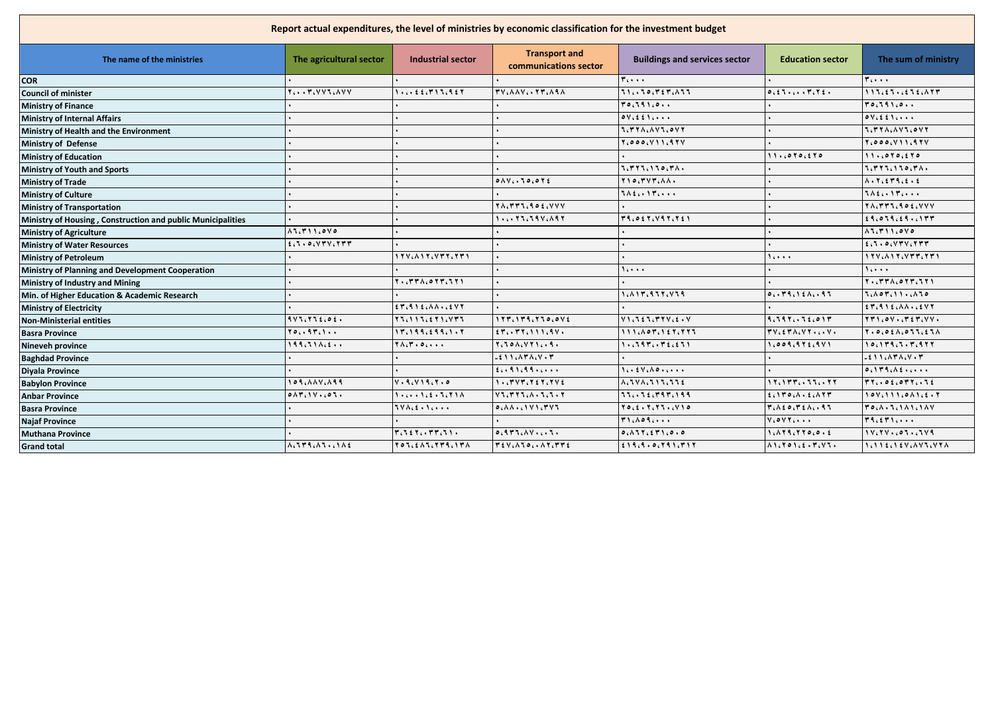| Report actual expenditures, the level of ministries by economic classification for the investment budget |                                                                                  |                                                                                                                                                                    |                                                                                        |                                                                                   |                                                                  |                                                                                                                   |  |  |
|----------------------------------------------------------------------------------------------------------|----------------------------------------------------------------------------------|--------------------------------------------------------------------------------------------------------------------------------------------------------------------|----------------------------------------------------------------------------------------|-----------------------------------------------------------------------------------|------------------------------------------------------------------|-------------------------------------------------------------------------------------------------------------------|--|--|
| The name of the ministries                                                                               | The agricultural sector                                                          | <b>Industrial sector</b>                                                                                                                                           | <b>Transport and</b><br>communications sector                                          | <b>Buildings and services sector</b>                                              | <b>Education sector</b>                                          | The sum of ministry                                                                                               |  |  |
| <b>COR</b>                                                                                               |                                                                                  |                                                                                                                                                                    |                                                                                        | ۲،۰۰۰                                                                             |                                                                  | $T_{i+1}$                                                                                                         |  |  |
| Council of minister                                                                                      | $Y_{i}$ . $Y_{i}$ $Y$ $Y$ $Y_{i}$ $\wedge$ $Y$ $Y$                               | $1.5.525$ $5.717.927$                                                                                                                                              | TV. AAV. . TT. AAA                                                                     | $711.70.727.17$                                                                   | 0.257.72.                                                        | 117.27.2572.777                                                                                                   |  |  |
| <b>Ministry of Finance</b>                                                                               |                                                                                  |                                                                                                                                                                    |                                                                                        | 10.191.0                                                                          |                                                                  | 70.191.0                                                                                                          |  |  |
| <b>Ministry of Internal Affairs</b>                                                                      |                                                                                  |                                                                                                                                                                    |                                                                                        | $oV_i$ $\leq$ $f \wedge \cdots$                                                   |                                                                  | $\circ v_{i}$ $\circ$ $\circ$ $\cdot$ $\cdot$                                                                     |  |  |
| Ministry of Health and the Environment                                                                   |                                                                                  |                                                                                                                                                                    |                                                                                        | I. TYA. AVI. OVY                                                                  |                                                                  | <b>TITYAINVIIOVY</b>                                                                                              |  |  |
| Ministry of Defense                                                                                      |                                                                                  |                                                                                                                                                                    |                                                                                        | Y, 000, V 11, 9 Y V                                                               |                                                                  | $Y_1 0 0 0 (V) 1 (9 V)$                                                                                           |  |  |
| <b>Ministry of Education</b>                                                                             |                                                                                  |                                                                                                                                                                    |                                                                                        |                                                                                   | 11.6070.270                                                      | 11.0070.270                                                                                                       |  |  |
| <b>Ministry of Youth and Sports</b>                                                                      |                                                                                  |                                                                                                                                                                    |                                                                                        | 1. ٣٢٦. ١٦٥. ٣٨٠                                                                  |                                                                  | $7.777.170.71.$                                                                                                   |  |  |
| <b>Ministry of Trade</b>                                                                                 |                                                                                  |                                                                                                                                                                    | $0 \wedge V_{i}$ , $10.012$                                                            | $Y \cup Q$ , $Y \vee Y$ , $\wedge \wedge \wedge$                                  |                                                                  | $\Lambda$ , $\Upsilon$ , $\zeta$ $\Upsilon$ $\Upsilon$ , $\zeta$ , $\zeta$                                        |  |  |
| <b>Ministry of Culture</b>                                                                               |                                                                                  |                                                                                                                                                                    |                                                                                        | $7\lambda$ £ $\cdots$ $1\lambda$ $\cdots$                                         |                                                                  | $7\lambda$ <i>i</i> . $17$                                                                                        |  |  |
| <b>Ministry of Transportation</b>                                                                        |                                                                                  |                                                                                                                                                                    | TACTTICS OF CVVV                                                                       |                                                                                   |                                                                  | $Y \wedge (Y Y Y, 9 \circ \xi, V V V)$                                                                            |  |  |
| Ministry of Housing, Construction and public Municipalities                                              |                                                                                  |                                                                                                                                                                    | $1.6177.7976A97$                                                                       | TROET, VRT. TEI                                                                   |                                                                  | 14.079.29.0197                                                                                                    |  |  |
| <b>Ministry of Agriculture</b>                                                                           | $\Lambda$ $\Lambda$ , $\Gamma$ $\Lambda$ $\Lambda$ , $\sigma$ $\Lambda$ $\sigma$ |                                                                                                                                                                    |                                                                                        |                                                                                   |                                                                  | $\Lambda$ $\Lambda$ , $\Gamma$ $\Lambda$ $\Lambda$ , $\circ$ $\vee$ $\circ$                                       |  |  |
| <b>Ministry of Water Resources</b>                                                                       | f:1.0.07V:177                                                                    |                                                                                                                                                                    |                                                                                        |                                                                                   |                                                                  | f:1.0.017V.777                                                                                                    |  |  |
| <b>Ministry of Petroleum</b>                                                                             |                                                                                  | ۱ ۲۷، ۸ ۱ ۲، ۷ ۳ ۲، ۲ ۳ ۱                                                                                                                                          |                                                                                        |                                                                                   | 16000                                                            | 17V. A 17. VTT. 771                                                                                               |  |  |
| Ministry of Planning and Development Cooperation                                                         |                                                                                  |                                                                                                                                                                    |                                                                                        | 16000                                                                             |                                                                  | 1.                                                                                                                |  |  |
| <b>Ministry of Industry and Mining</b>                                                                   |                                                                                  | $Y \cdot (YY \wedge (0 Y Y, 1 Y)$                                                                                                                                  |                                                                                        |                                                                                   |                                                                  | $Y \cdot \mathcal{C} Y Y \wedge \mathcal{C} Y Y \mathcal{C} Y Y Y$                                                |  |  |
| Min. of Higher Education & Academic Research                                                             |                                                                                  |                                                                                                                                                                    |                                                                                        | 1. 117. 977. 779                                                                  | 0.149.121.197                                                    | $5.107.11.110$                                                                                                    |  |  |
| <b>Ministry of Electricity</b>                                                                           |                                                                                  | $\epsilon$ $\mathbf{r}$ , $\mathbf{q}$ $\mathbf{r}$ $\epsilon$ , $\mathbf{A}$ $\mathbf{A}$ , $\epsilon$ $\epsilon$ $\mathbf{V}$ $\mathbf{r}$                       |                                                                                        |                                                                                   |                                                                  | $\epsilon$ $\tau$ , $\theta$ $\theta$ $\epsilon$ , $\theta$ , $\theta$ , $\epsilon$ , $\epsilon$ $\forall$ $\tau$ |  |  |
| <b>Non-Ministerial entities</b>                                                                          | 995.75606.                                                                       | $\begin{array}{c} \parallel \forall \forall \zeta \wedge \gamma \wedge \forall \zeta \in \forall \gamma \wedge \zeta \vee \forall \gamma \wedge \zeta \end{array}$ | $1177.179.770.0V2$                                                                     | V1.551.77V.5. V                                                                   | 9.797.15.011                                                     | $YY1,0Y1,0Y3,0Z4,0Z4$                                                                                             |  |  |
| <b>Basra Province</b>                                                                                    | 70. . 97. 1                                                                      | $111.199.299.1.17$                                                                                                                                                 | $i$ $\mathsf{r}_i$ , $\mathsf{r}_i$ , $\mathsf{r}_i$ , $\mathsf{r}_i$ , $\mathsf{r}_i$ | 111660761276777                                                                   | $TVCETA. VY. C. V.$                                              | $Y \cdot 0.011.111.11A$                                                                                           |  |  |
| <b>Nineveh province</b>                                                                                  | $199.71$ $\wedge$                                                                | $Y \wedge (Y \cdot 0 \ldots)$                                                                                                                                      | $Y10A2YY19.$                                                                           | 1.197.172.271                                                                     | ۹، ۵ ۵ ۹، ۹ ۲ ٤، ۹ ۷ ۱                                           | $10.179.7.76777$                                                                                                  |  |  |
| <b>Baghdad Province</b>                                                                                  |                                                                                  |                                                                                                                                                                    | $-211.147A.49.7$                                                                       |                                                                                   |                                                                  | $-211.171.44.77$                                                                                                  |  |  |
| <b>Divala Province</b>                                                                                   |                                                                                  |                                                                                                                                                                    | 20.91099                                                                               | $1 \cdots 5 \vee 6 \wedge 9 \cdots$                                               |                                                                  | 0.119.16                                                                                                          |  |  |
| <b>Babylon Province</b>                                                                                  | 109. $\Lambda\Lambda V, \Lambda$ 99                                              | V.9. V.9.7.0                                                                                                                                                       | $1.5797572757474$                                                                      | $\Lambda, \Lambda \vee \Lambda, \Lambda \wedge \Lambda, \Lambda, \Lambda, \Sigma$ | 1 そこ1 ٣ ٣ ここ ちちょこ そそ                                             | $rr_i.01$ , $011.11$                                                                                              |  |  |
| <b>Anbar Province</b>                                                                                    | 0.14.14.07.                                                                      | 1.5.1.1.2.7.71A                                                                                                                                                    | $V$ $T$ , $T$ $T$ $T$ , $A$ , $T$ , $T$ , $T$                                          | 77.72.797.199                                                                     | $f \in \mathcal{M}$ , $f \in \mathcal{M}$                        | $10V_1$ $11_1$ $0$ $11_2$ $1.5.7$                                                                                 |  |  |
| <b>Basra Province</b>                                                                                    |                                                                                  | $TV \wedge G$ . $\wedge G$ .                                                                                                                                       |                                                                                        | <u>70 (£ = 7 (77 = 17 ) 0</u>                                                     | $T_i \wedge \xi \circ \zeta T_i \circ \wedge \zeta \cdot \eta T$ | <b>TO (A . J . 1 A 1 . 1 A V</b>                                                                                  |  |  |
| <b>Najaf Province</b>                                                                                    |                                                                                  |                                                                                                                                                                    |                                                                                        | T1.109                                                                            | $V_1 \circ V_1 \circ \cdots$                                     | 19.51                                                                                                             |  |  |
| <b>Muthana Province</b>                                                                                  |                                                                                  | $r_{i}$ ٦٤٢ $_{i}$ , ٣٣ $_{i}$ ٦١,                                                                                                                                 | 0.911.111.                                                                             | 0.111.571.0.0                                                                     | 1.119.770.0.2                                                    |                                                                                                                   |  |  |
| <b>Grand total</b>                                                                                       | A, B, B, C, C, C, A, E                                                           | TOLEALLYTRIITA                                                                                                                                                     | TEVINJOINTITTE                                                                         |                                                                                   | $\Lambda$ 1.701.2.7.VI.                                          | $1.115115436444764744$                                                                                            |  |  |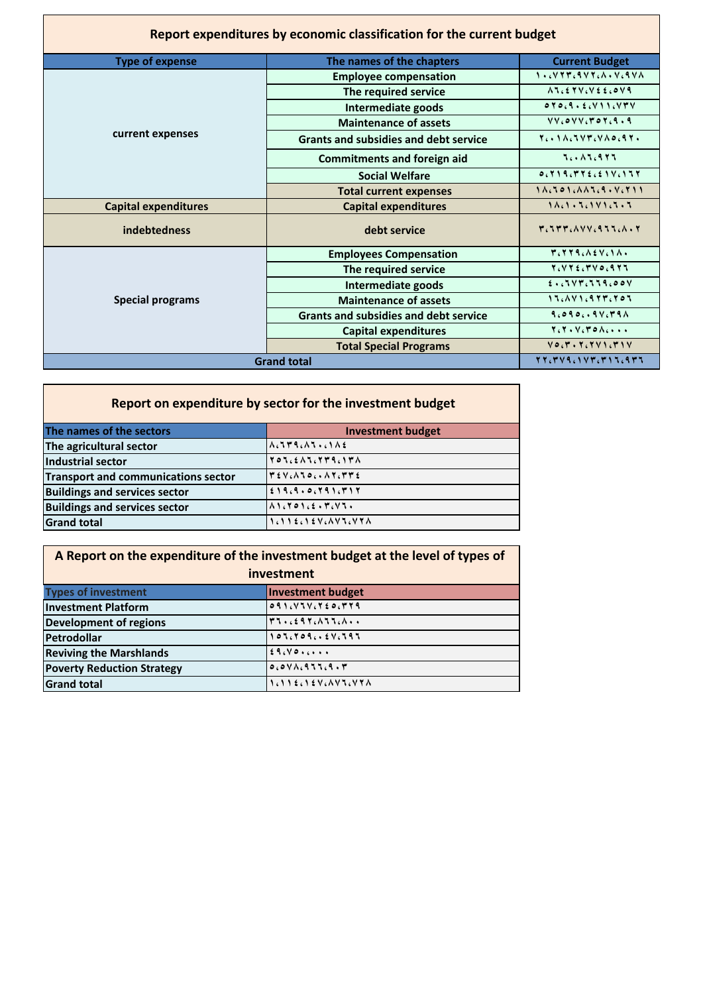|                             | Report expenditures by economic classification for the current budget |                                                                                                              |
|-----------------------------|-----------------------------------------------------------------------|--------------------------------------------------------------------------------------------------------------|
| <b>Type of expense</b>      | The names of the chapters                                             | <b>Current Budget</b>                                                                                        |
|                             | <b>Employee compensation</b>                                          | $1.6977699760846970$                                                                                         |
|                             | The required service                                                  | $\Lambda$ $\Lambda$ , $\epsilon$ $\Upsilon$ $\vee$ , $\vee$ $\epsilon$ $\epsilon$ , $\circ$ $\vee$ $\varphi$ |
|                             | Intermediate goods                                                    | $0 \times 0.9.5$ (V) ) (VTV                                                                                  |
|                             | <b>Maintenance of assets</b>                                          | $VV_{c}oVV_{c}roV_{c}q.9$                                                                                    |
| current expenses            | <b>Grants and subsidies and debt service</b>                          | Ter Sachvervaors Tr                                                                                          |
|                             | <b>Commitments and foreign aid</b>                                    | <b>Tech 16977</b>                                                                                            |
|                             | <b>Social Welfare</b>                                                 | 0.519.772.21V.177                                                                                            |
|                             | <b>Total current expenses</b>                                         | $1.1.501.1.11.1.1.11111$                                                                                     |
| <b>Capital expenditures</b> | <b>Capital expenditures</b>                                           |                                                                                                              |
| indebtedness                | debt service                                                          | ۳، ۶۳۳، ۱۷۷، ۹۶۶، ۱۸۰۲                                                                                       |
|                             | <b>Employees Compensation</b>                                         | MCTTACAEVCIA.                                                                                                |
|                             | The required service                                                  | $Y_{6}VY_{6}E_{6}VV_{06}QY_{1}$                                                                              |
|                             | Intermediate goods                                                    | 2.5544.004                                                                                                   |
| <b>Special programs</b>     | <b>Maintenance of assets</b>                                          | $15.1411.977.705$                                                                                            |
|                             | <b>Grants and subsidies and debt service</b>                          | 9.090.09V,T9A                                                                                                |
|                             | <b>Capital expenditures</b>                                           |                                                                                                              |
|                             | <b>Total Special Programs</b>                                         | $V \circ C V \cdot Y C V V V C V V V$                                                                        |
| <b>Grand total</b>          | xxcrvqc1vrcr11cqr1                                                    |                                                                                                              |

| Report on expenditure by sector for the investment budget |                                                                                                                                               |  |  |  |  |  |  |  |
|-----------------------------------------------------------|-----------------------------------------------------------------------------------------------------------------------------------------------|--|--|--|--|--|--|--|
| The names of the sectors                                  | <b>Investment budget</b>                                                                                                                      |  |  |  |  |  |  |  |
| The agricultural sector                                   | $\Lambda_{c}$ $\uparrow$ $\uparrow$ $\uparrow$ $\downarrow$ $\Lambda$ $\uparrow$ $\downarrow$ $\downarrow$ $\uparrow$ $\uparrow$ $\downarrow$ |  |  |  |  |  |  |  |
| Industrial sector                                         | TOLEALITTA . ITA                                                                                                                              |  |  |  |  |  |  |  |
| <b>Transport and communications sector</b>                | $T \in V \cup V \cup V \cup V \cup V \cup V \cup V$                                                                                           |  |  |  |  |  |  |  |
| <b>Buildings and services sector</b>                      | 219.9.06791.717                                                                                                                               |  |  |  |  |  |  |  |
| <b>Buildings and services sector</b>                      | $\Lambda$ 1.701.2.7.VJ.                                                                                                                       |  |  |  |  |  |  |  |
| <b>Grand total</b>                                        | 1.11ENEV.AVS.VYN                                                                                                                              |  |  |  |  |  |  |  |

|                                                                  | A Report on the expenditure of the investment budget at the level of types of<br>investment |  |  |  |  |  |
|------------------------------------------------------------------|---------------------------------------------------------------------------------------------|--|--|--|--|--|
| <b>Types of investment</b><br><b>Investment budget</b>           |                                                                                             |  |  |  |  |  |
| <b>Investment Platform</b>                                       | 091. VUV, YE0, YY9                                                                          |  |  |  |  |  |
| <b>Development of regions</b>                                    | T1.2597.117.1.                                                                              |  |  |  |  |  |
| $105.7092V.797$<br>Petrodollar                                   |                                                                                             |  |  |  |  |  |
| <b>Reviving the Marshlands</b>                                   | 29.80                                                                                       |  |  |  |  |  |
| $0.0 V \Lambda$ $0.9 J J G$<br><b>Poverty Reduction Strategy</b> |                                                                                             |  |  |  |  |  |
| <b>Grand total</b>                                               | 1.112.127.877.778                                                                           |  |  |  |  |  |